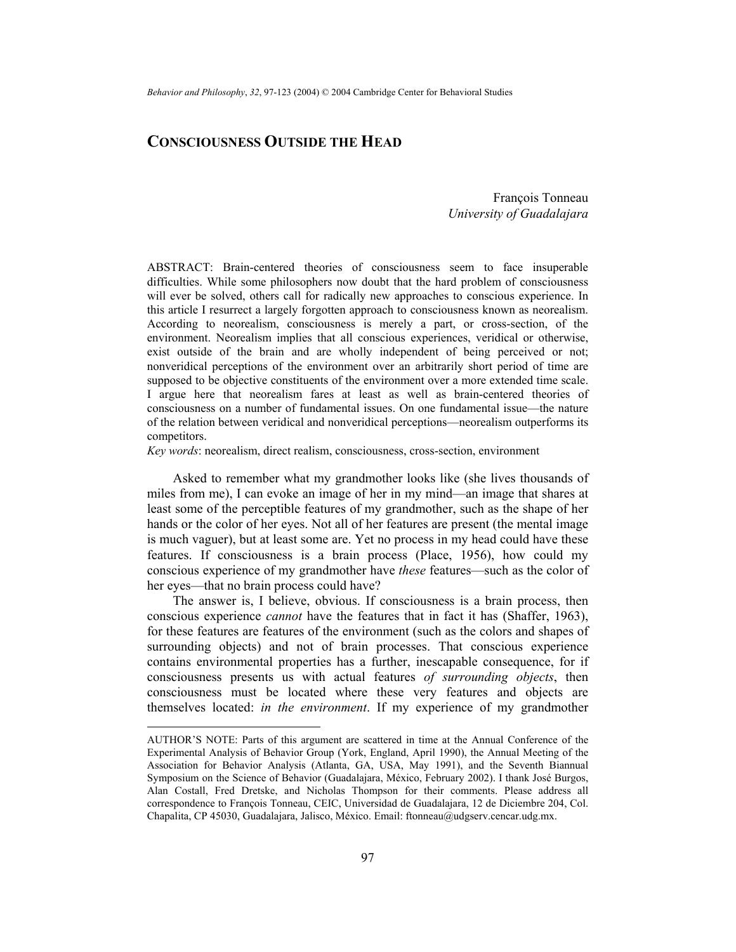# **CONSCIOUSNESS OUTSIDE THE HEAD**

François Tonneau *University of Guadalajara* 

ABSTRACT: Brain-centered theories of consciousness seem to face insuperable difficulties. While some philosophers now doubt that the hard problem of consciousness will ever be solved, others call for radically new approaches to conscious experience. In this article I resurrect a largely forgotten approach to consciousness known as neorealism. According to neorealism, consciousness is merely a part, or cross-section, of the environment. Neorealism implies that all conscious experiences, veridical or otherwise, exist outside of the brain and are wholly independent of being perceived or not; nonveridical perceptions of the environment over an arbitrarily short period of time are supposed to be objective constituents of the environment over a more extended time scale. I argue here that neorealism fares at least as well as brain-centered theories of consciousness on a number of fundamental issues. On one fundamental issue—the nature of the relation between veridical and nonveridical perceptions—neorealism outperforms its competitors.

*Key words*: neorealism, direct realism, consciousness, cross-section, environment

Asked to remember what my grandmother looks like (she lives thousands of miles from me), I can evoke an image of her in my mind—an image that shares at least some of the perceptible features of my grandmother, such as the shape of her hands or the color of her eyes. Not all of her features are present (the mental image is much vaguer), but at least some are. Yet no process in my head could have these features. If consciousness is a brain process (Place, 1956), how could my conscious experience of my grandmother have *these* features—such as the color of her eyes—that no brain process could have?

The answer is, I believe, obvious. If consciousness is a brain process, then conscious experience *cannot* have the features that in fact it has (Shaffer, 1963), for these features are features of the environment (such as the colors and shapes of surrounding objects) and not of brain processes. That conscious experience contains environmental properties has a further, inescapable consequence, for if consciousness presents us with actual features *of surrounding objects*, then consciousness must be located where these very features and objects are themselves located: *in the environment*. If my experience of my grandmother

AUTHOR'S NOTE: Parts of this argument are scattered in time at the Annual Conference of the Experimental Analysis of Behavior Group (York, England, April 1990), the Annual Meeting of the Association for Behavior Analysis (Atlanta, GA, USA, May 1991), and the Seventh Biannual Symposium on the Science of Behavior (Guadalajara, México, February 2002). I thank José Burgos, Alan Costall, Fred Dretske, and Nicholas Thompson for their comments. Please address all correspondence to François Tonneau, CEIC, Universidad de Guadalajara, 12 de Diciembre 204, Col. Chapalita, CP 45030, Guadalajara, Jalisco, México. Email: ftonneau@udgserv.cencar.udg.mx.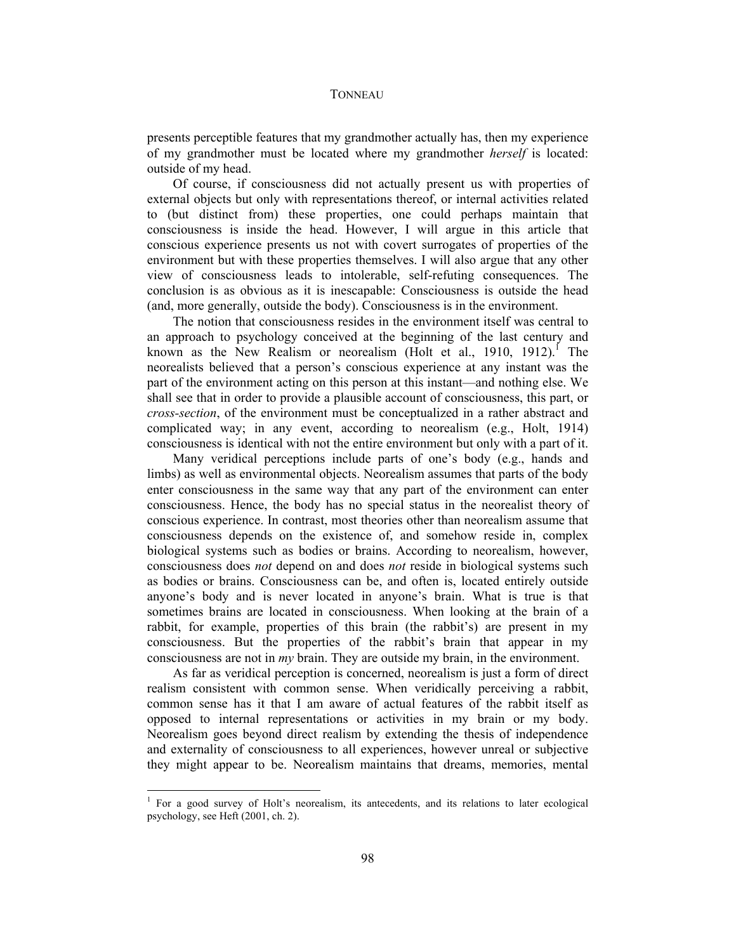presents perceptible features that my grandmother actually has, then my experience of my grandmother must be located where my grandmother *herself* is located: outside of my head.

Of course, if consciousness did not actually present us with properties of external objects but only with representations thereof, or internal activities related to (but distinct from) these properties, one could perhaps maintain that consciousness is inside the head. However, I will argue in this article that conscious experience presents us not with covert surrogates of properties of the environment but with these properties themselves. I will also argue that any other view of consciousness leads to intolerable, self-refuting consequences. The conclusion is as obvious as it is inescapable: Consciousness is outside the head (and, more generally, outside the body). Consciousness is in the environment.

The notion that consciousness resides in the environment itself was central to an approach to psychology conceived at the beginning of the last century and known as the New Realism or neorealism (Holt et al., 1910, 1912).<sup>I</sup> The neorealists believed that a person's conscious experience at any instant was the part of the environment acting on this person at this instant—and nothing else. We shall see that in order to provide a plausible account of consciousness, this part, or *cross-section*, of the environment must be conceptualized in a rather abstract and complicated way; in any event, according to neorealism (e.g., Holt, 1914) consciousness is identical with not the entire environment but only with a part of it.

Many veridical perceptions include parts of one's body (e.g., hands and limbs) as well as environmental objects. Neorealism assumes that parts of the body enter consciousness in the same way that any part of the environment can enter consciousness. Hence, the body has no special status in the neorealist theory of conscious experience. In contrast, most theories other than neorealism assume that consciousness depends on the existence of, and somehow reside in, complex biological systems such as bodies or brains. According to neorealism, however, consciousness does *not* depend on and does *not* reside in biological systems such as bodies or brains. Consciousness can be, and often is, located entirely outside anyone's body and is never located in anyone's brain. What is true is that sometimes brains are located in consciousness. When looking at the brain of a rabbit, for example, properties of this brain (the rabbit's) are present in my consciousness. But the properties of the rabbit's brain that appear in my consciousness are not in *my* brain. They are outside my brain, in the environment.

As far as veridical perception is concerned, neorealism is just a form of direct realism consistent with common sense. When veridically perceiving a rabbit, common sense has it that I am aware of actual features of the rabbit itself as opposed to internal representations or activities in my brain or my body. Neorealism goes beyond direct realism by extending the thesis of independence and externality of consciousness to all experiences, however unreal or subjective they might appear to be. Neorealism maintains that dreams, memories, mental

<sup>&</sup>lt;sup>1</sup> For a good survey of Holt's neorealism, its antecedents, and its relations to later ecological psychology, see Heft (2001, ch. 2).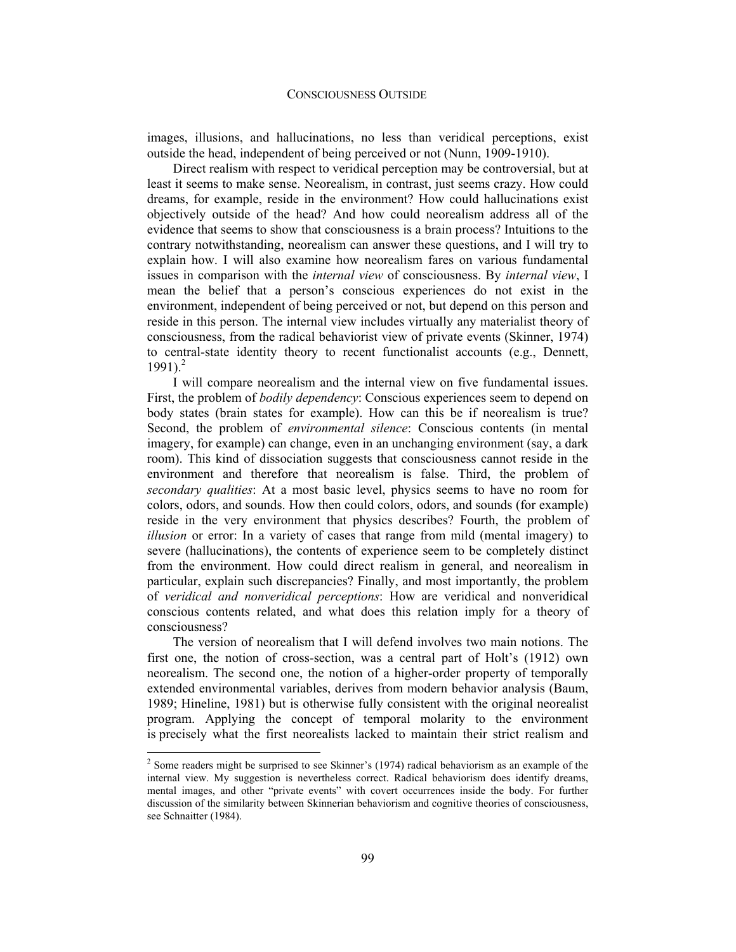images, illusions, and hallucinations, no less than veridical perceptions, exist outside the head, independent of being perceived or not (Nunn, 1909-1910).

Direct realism with respect to veridical perception may be controversial, but at least it seems to make sense. Neorealism, in contrast, just seems crazy. How could dreams, for example, reside in the environment? How could hallucinations exist objectively outside of the head? And how could neorealism address all of the evidence that seems to show that consciousness is a brain process? Intuitions to the contrary notwithstanding, neorealism can answer these questions, and I will try to explain how. I will also examine how neorealism fares on various fundamental issues in comparison with the *internal view* of consciousness. By *internal view*, I mean the belief that a person's conscious experiences do not exist in the environment, independent of being perceived or not, but depend on this person and reside in this person. The internal view includes virtually any materialist theory of consciousness, from the radical behaviorist view of private events (Skinner, 1974) to central-state identity theory to recent functionalist accounts (e.g., Dennett,  $1991$ <sup>2</sup>

I will compare neorealism and the internal view on five fundamental issues. First, the problem of *bodily dependency*: Conscious experiences seem to depend on body states (brain states for example). How can this be if neorealism is true? Second, the problem of *environmental silence*: Conscious contents (in mental imagery, for example) can change, even in an unchanging environment (say, a dark room). This kind of dissociation suggests that consciousness cannot reside in the environment and therefore that neorealism is false. Third, the problem of *secondary qualities*: At a most basic level, physics seems to have no room for colors, odors, and sounds. How then could colors, odors, and sounds (for example) reside in the very environment that physics describes? Fourth, the problem of *illusion* or error: In a variety of cases that range from mild (mental imagery) to severe (hallucinations), the contents of experience seem to be completely distinct from the environment. How could direct realism in general, and neorealism in particular, explain such discrepancies? Finally, and most importantly, the problem of *veridical and nonveridical perceptions*: How are veridical and nonveridical conscious contents related, and what does this relation imply for a theory of consciousness?

The version of neorealism that I will defend involves two main notions. The first one, the notion of cross-section, was a central part of Holt's (1912) own neorealism. The second one, the notion of a higher-order property of temporally extended environmental variables, derives from modern behavior analysis (Baum, 1989; Hineline, 1981) but is otherwise fully consistent with the original neorealist program. Applying the concept of temporal molarity to the environment is precisely what the first neorealists lacked to maintain their strict realism and

 $2^{2}$  Some readers might be surprised to see Skinner's (1974) radical behaviorism as an example of the internal view. My suggestion is nevertheless correct. Radical behaviorism does identify dreams, mental images, and other "private events" with covert occurrences inside the body. For further discussion of the similarity between Skinnerian behaviorism and cognitive theories of consciousness, see Schnaitter (1984).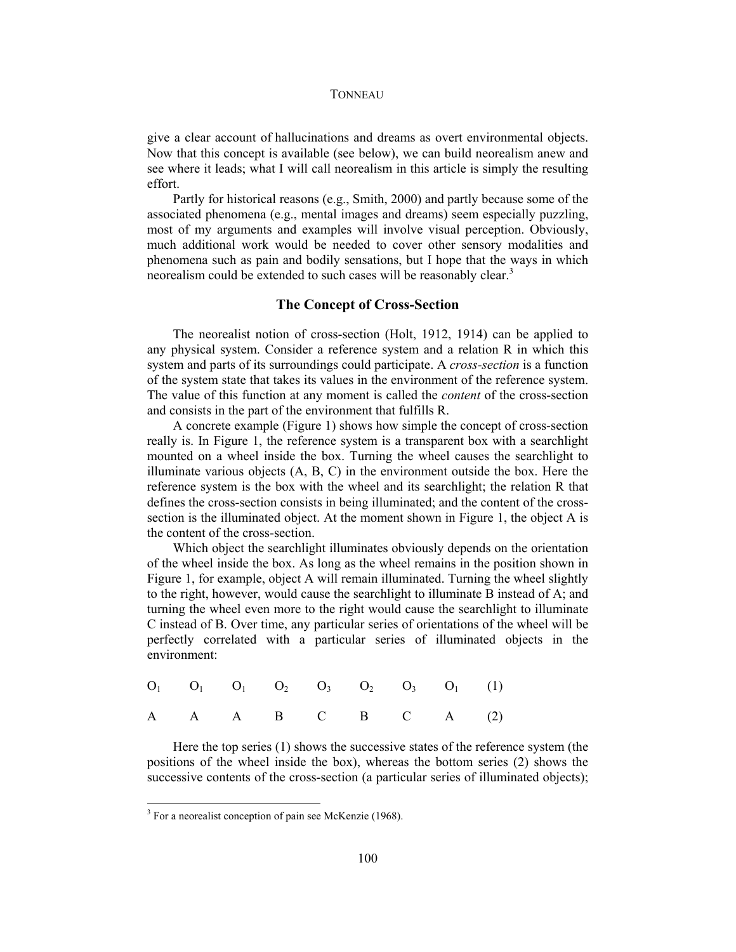give a clear account of hallucinations and dreams as overt environmental objects. Now that this concept is available (see below), we can build neorealism anew and see where it leads; what I will call neorealism in this article is simply the resulting effort.

Partly for historical reasons (e.g., Smith, 2000) and partly because some of the associated phenomena (e.g., mental images and dreams) seem especially puzzling, most of my arguments and examples will involve visual perception. Obviously, much additional work would be needed to cover other sensory modalities and phenomena such as pain and bodily sensations, but I hope that the ways in which neorealism could be extended to such cases will be reasonably clear.<sup>3</sup>

## **The Concept of Cross-Section**

The neorealist notion of cross-section (Holt, 1912, 1914) can be applied to any physical system. Consider a reference system and a relation R in which this system and parts of its surroundings could participate. A *cross-section* is a function of the system state that takes its values in the environment of the reference system. The value of this function at any moment is called the *content* of the cross-section and consists in the part of the environment that fulfills R.

A concrete example (Figure 1) shows how simple the concept of cross-section really is. In Figure 1, the reference system is a transparent box with a searchlight mounted on a wheel inside the box. Turning the wheel causes the searchlight to illuminate various objects (A, B, C) in the environment outside the box. Here the reference system is the box with the wheel and its searchlight; the relation R that defines the cross-section consists in being illuminated; and the content of the crosssection is the illuminated object. At the moment shown in Figure 1, the object A is the content of the cross-section.

Which object the searchlight illuminates obviously depends on the orientation of the wheel inside the box. As long as the wheel remains in the position shown in Figure 1, for example, object A will remain illuminated. Turning the wheel slightly to the right, however, would cause the searchlight to illuminate B instead of A; and turning the wheel even more to the right would cause the searchlight to illuminate C instead of B. Over time, any particular series of orientations of the wheel will be perfectly correlated with a particular series of illuminated objects in the environment:

|  |  | $O_1$ $O_1$ $O_1$ $O_2$ $O_3$ $O_2$ $O_3$ $O_1$ (1) |  |  |
|--|--|-----------------------------------------------------|--|--|
|  |  | A A A B C B C A (2)                                 |  |  |

Here the top series (1) shows the successive states of the reference system (the positions of the wheel inside the box), whereas the bottom series (2) shows the successive contents of the cross-section (a particular series of illuminated objects);

<sup>&</sup>lt;sup>3</sup> For a neorealist conception of pain see McKenzie (1968).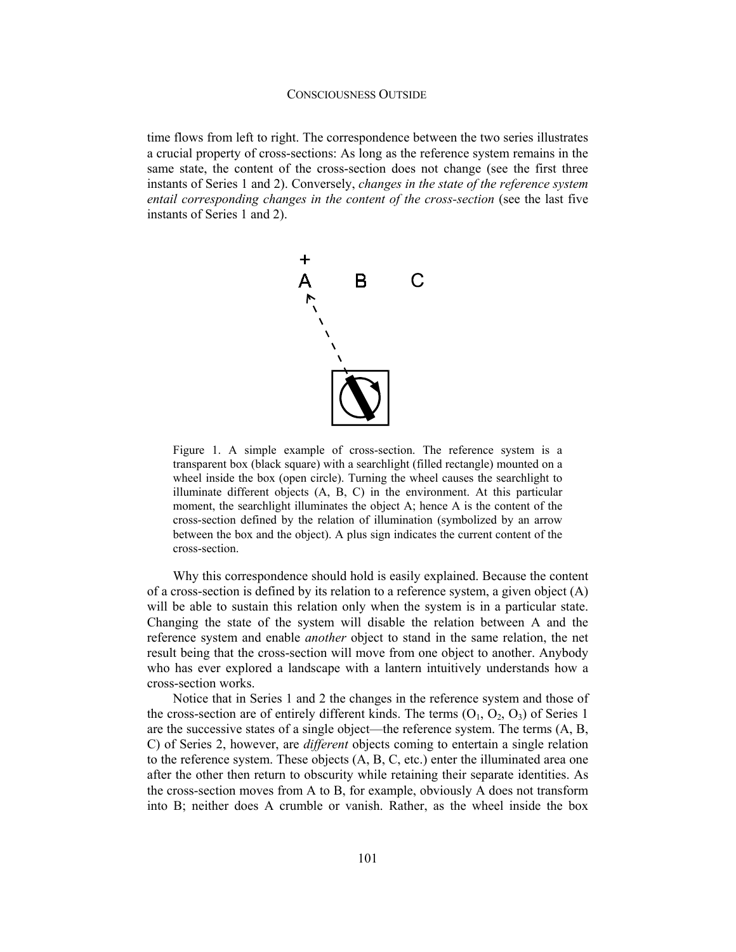time flows from left to right. The correspondence between the two series illustrates a crucial property of cross-sections: As long as the reference system remains in the same state, the content of the cross-section does not change (see the first three instants of Series 1 and 2). Conversely, *changes in the state of the reference system*  entail corresponding changes in the content of the cross-section (see the last five instants of Series 1 and 2).



Figure 1. A simple example of cross-section. The reference system is a transparent box (black square) with a searchlight (filled rectangle) mounted on a wheel inside the box (open circle). Turning the wheel causes the searchlight to illuminate different objects (A, B, C) in the environment. At this particular moment, the searchlight illuminates the object A; hence A is the content of the cross-section defined by the relation of illumination (symbolized by an arrow between the box and the object). A plus sign indicates the current content of the cross-section.

Why this correspondence should hold is easily explained. Because the content of a cross-section is defined by its relation to a reference system, a given object  $(A)$ will be able to sustain this relation only when the system is in a particular state. Changing the state of the system will disable the relation between A and the reference system and enable *another* object to stand in the same relation, the net result being that the cross-section will move from one object to another. Anybody who has ever explored a landscape with a lantern intuitively understands how a cross-section works.

Notice that in Series 1 and 2 the changes in the reference system and those of the cross-section are of entirely different kinds. The terms  $(O_1, O_2, O_3)$  of Series 1 are the successive states of a single object—the reference system. The terms (A, B, C) of Series 2, however, are *different* objects coming to entertain a single relation to the reference system. These objects (A, B, C, etc.) enter the illuminated area one after the other then return to obscurity while retaining their separate identities. As the cross-section moves from A to B, for example, obviously A does not transform into B; neither does A crumble or vanish. Rather, as the wheel inside the box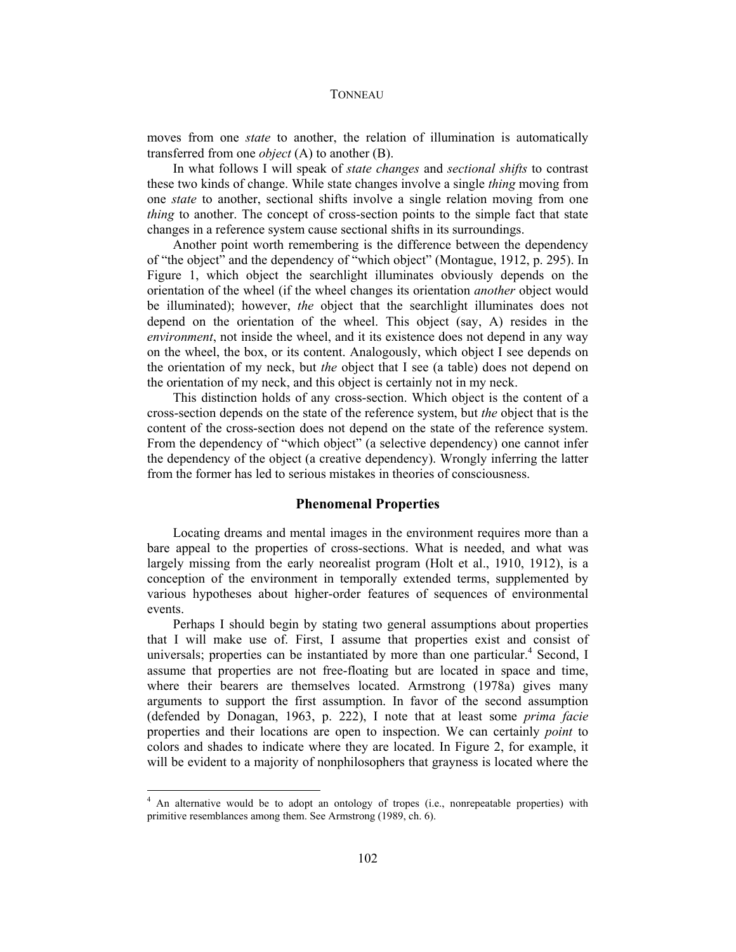moves from one *state* to another, the relation of illumination is automatically transferred from one *object* (A) to another (B).

In what follows I will speak of *state changes* and *sectional shifts* to contrast these two kinds of change. While state changes involve a single *thing* moving from one *state* to another, sectional shifts involve a single relation moving from one *thing* to another. The concept of cross-section points to the simple fact that state changes in a reference system cause sectional shifts in its surroundings.

Another point worth remembering is the difference between the dependency of "the object" and the dependency of "which object" (Montague, 1912, p. 295). In Figure 1, which object the searchlight illuminates obviously depends on the orientation of the wheel (if the wheel changes its orientation *another* object would be illuminated); however, *the* object that the searchlight illuminates does not depend on the orientation of the wheel. This object (say, A) resides in the *environment*, not inside the wheel, and it its existence does not depend in any way on the wheel, the box, or its content. Analogously, which object I see depends on the orientation of my neck, but *the* object that I see (a table) does not depend on the orientation of my neck, and this object is certainly not in my neck.

This distinction holds of any cross-section. Which object is the content of a cross-section depends on the state of the reference system, but *the* object that is the content of the cross-section does not depend on the state of the reference system. From the dependency of "which object" (a selective dependency) one cannot infer the dependency of the object (a creative dependency). Wrongly inferring the latter from the former has led to serious mistakes in theories of consciousness.

## **Phenomenal Properties**

Locating dreams and mental images in the environment requires more than a bare appeal to the properties of cross-sections. What is needed, and what was largely missing from the early neorealist program (Holt et al., 1910, 1912), is a conception of the environment in temporally extended terms, supplemented by various hypotheses about higher-order features of sequences of environmental events.

Perhaps I should begin by stating two general assumptions about properties that I will make use of. First, I assume that properties exist and consist of universals; properties can be instantiated by more than one particular.<sup>4</sup> Second, I assume that properties are not free-floating but are located in space and time, where their bearers are themselves located. Armstrong (1978a) gives many arguments to support the first assumption. In favor of the second assumption (defended by Donagan, 1963, p. 222), I note that at least some *prima facie*  properties and their locations are open to inspection. We can certainly *point* to colors and shades to indicate where they are located. In Figure 2, for example, it will be evident to a majority of nonphilosophers that grayness is located where the

<sup>&</sup>lt;sup>4</sup> An alternative would be to adopt an ontology of tropes (i.e., nonrepeatable properties) with primitive resemblances among them. See Armstrong (1989, ch. 6).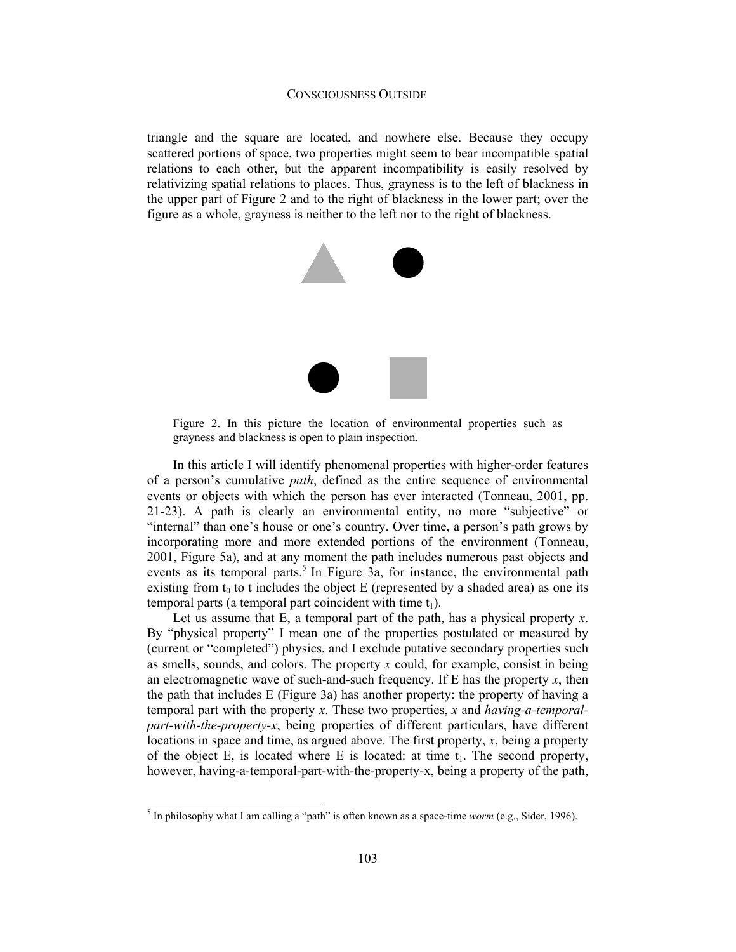### CONSCIOUSNESS OUTSIDE

triangle and the square are located, and nowhere else. Because they occupy scattered portions of space, two properties might seem to bear incompatible spatial relations to each other, but the apparent incompatibility is easily resolved by relativizing spatial relations to places. Thus, grayness is to the left of blackness in the upper part of Figure 2 and to the right of blackness in the lower part; over the figure as a whole, grayness is neither to the left nor to the right of blackness.



Figure 2. In this picture the location of environmental properties such as grayness and blackness is open to plain inspection.

In this article I will identify phenomenal properties with higher-order features of a person's cumulative *path*, defined as the entire sequence of environmental events or objects with which the person has ever interacted (Tonneau, 2001, pp. 21-23). A path is clearly an environmental entity, no more "subjective" or "internal" than one's house or one's country. Over time, a person's path grows by incorporating more and more extended portions of the environment (Tonneau, 2001, Figure 5a), and at any moment the path includes numerous past objects and events as its temporal parts.<sup>5</sup> In Figure 3a, for instance, the environmental path existing from  $t_0$  to t includes the object E (represented by a shaded area) as one its temporal parts (a temporal part coincident with time  $t_1$ ).

Let us assume that  $E$ , a temporal part of the path, has a physical property  $x$ . By "physical property" I mean one of the properties postulated or measured by (current or "completed") physics, and I exclude putative secondary properties such as smells, sounds, and colors. The property *x* could, for example, consist in being an electromagnetic wave of such-and-such frequency. If  $E$  has the property  $x$ , then the path that includes E (Figure 3a) has another property: the property of having a temporal part with the property *x*. These two properties, *x* and *having-a-temporalpart-with-the-property-x*, being properties of different particulars, have different locations in space and time, as argued above. The first property, *x*, being a property of the object E, is located where E is located: at time  $t_1$ . The second property, however, having-a-temporal-part-with-the-property-x, being a property of the path,

 5 In philosophy what I am calling a "path" is often known as a space-time *worm* (e.g., Sider, 1996).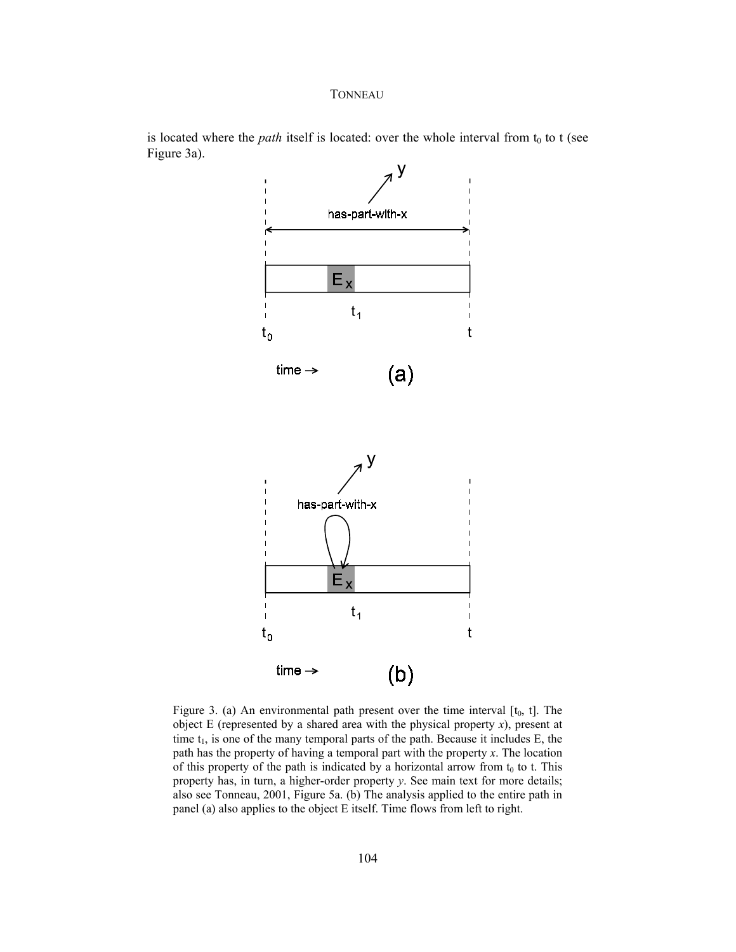

is located where the *path* itself is located: over the whole interval from  $t_0$  to t (see Figure 3a).

Figure 3. (a) An environmental path present over the time interval  $[t_0, t]$ . The object E (represented by a shared area with the physical property *x*), present at time  $t_1$ , is one of the many temporal parts of the path. Because it includes  $E$ , the path has the property of having a temporal part with the property *x*. The location of this property of the path is indicated by a horizontal arrow from  $t_0$  to t. This property has, in turn, a higher-order property *y*. See main text for more details; also see Tonneau, 2001, Figure 5a. (b) The analysis applied to the entire path in panel (a) also applies to the object E itself. Time flows from left to right.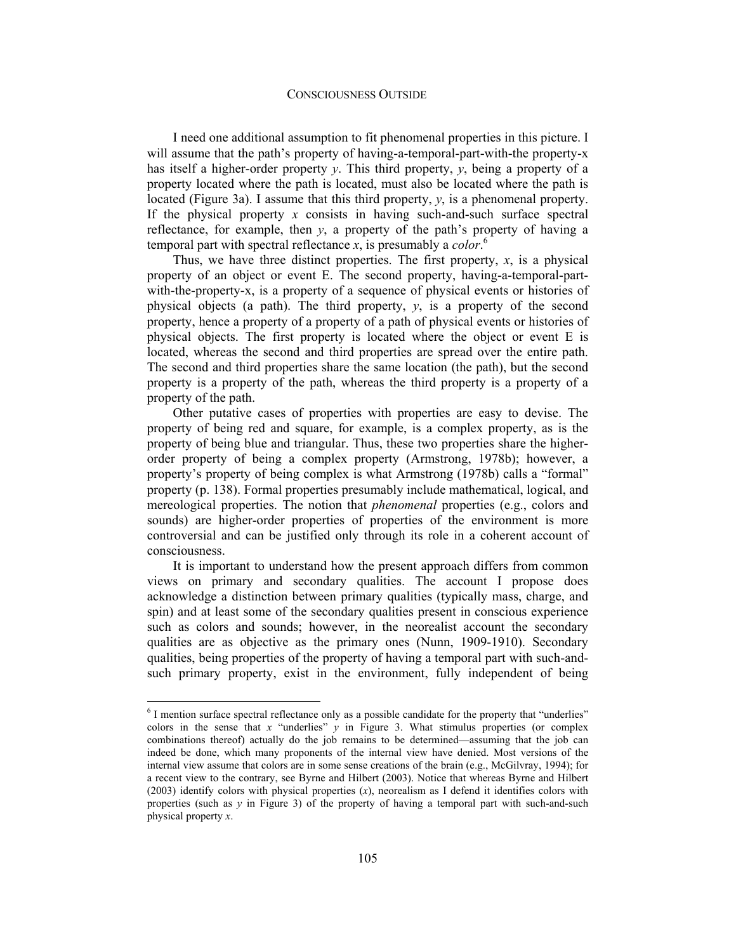I need one additional assumption to fit phenomenal properties in this picture. I will assume that the path's property of having-a-temporal-part-with-the property-x has itself a higher-order property *y*. This third property, *y*, being a property of a property located where the path is located, must also be located where the path is located (Figure 3a). I assume that this third property, *y*, is a phenomenal property. If the physical property *x* consists in having such-and-such surface spectral reflectance, for example, then *y*, a property of the path's property of having a temporal part with spectral reflectance *x*, is presumably a *color*. 6

Thus, we have three distinct properties. The first property, *x*, is a physical property of an object or event E. The second property, having-a-temporal-partwith-the-property-x, is a property of a sequence of physical events or histories of physical objects (a path). The third property, *y*, is a property of the second property, hence a property of a property of a path of physical events or histories of physical objects. The first property is located where the object or event E is located, whereas the second and third properties are spread over the entire path. The second and third properties share the same location (the path), but the second property is a property of the path, whereas the third property is a property of a property of the path.

Other putative cases of properties with properties are easy to devise. The property of being red and square, for example, is a complex property, as is the property of being blue and triangular. Thus, these two properties share the higherorder property of being a complex property (Armstrong, 1978b); however, a property's property of being complex is what Armstrong (1978b) calls a "formal" property (p. 138). Formal properties presumably include mathematical, logical, and mereological properties. The notion that *phenomenal* properties (e.g., colors and sounds) are higher-order properties of properties of the environment is more controversial and can be justified only through its role in a coherent account of consciousness.

It is important to understand how the present approach differs from common views on primary and secondary qualities. The account I propose does acknowledge a distinction between primary qualities (typically mass, charge, and spin) and at least some of the secondary qualities present in conscious experience such as colors and sounds; however, in the neorealist account the secondary qualities are as objective as the primary ones (Nunn, 1909-1910). Secondary qualities, being properties of the property of having a temporal part with such-andsuch primary property, exist in the environment, fully independent of being

 $<sup>6</sup>$  I mention surface spectral reflectance only as a possible candidate for the property that "underlies"</sup> colors in the sense that *x* "underlies"  $\gamma$  in Figure 3. What stimulus properties (or complex combinations thereof) actually do the job remains to be determined—assuming that the job can indeed be done, which many proponents of the internal view have denied. Most versions of the internal view assume that colors are in some sense creations of the brain (e.g., McGilvray, 1994); for a recent view to the contrary, see Byrne and Hilbert (2003). Notice that whereas Byrne and Hilbert (2003) identify colors with physical properties (*x*), neorealism as I defend it identifies colors with properties (such as  $\gamma$  in Figure 3) of the property of having a temporal part with such-and-such physical property *x*.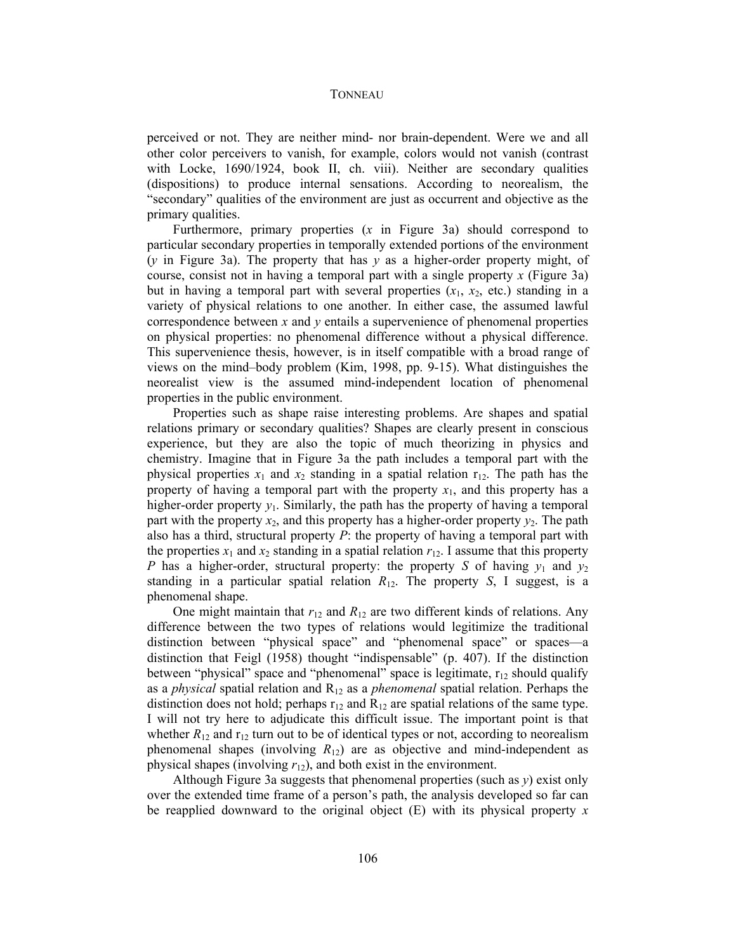perceived or not. They are neither mind- nor brain-dependent. Were we and all other color perceivers to vanish, for example, colors would not vanish (contrast with Locke, 1690/1924, book II, ch. viii). Neither are secondary qualities (dispositions) to produce internal sensations. According to neorealism, the "secondary" qualities of the environment are just as occurrent and objective as the primary qualities.

Furthermore, primary properties (*x* in Figure 3a) should correspond to particular secondary properties in temporally extended portions of the environment (*y* in Figure 3a). The property that has *y* as a higher-order property might, of course, consist not in having a temporal part with a single property *x* (Figure 3a) but in having a temporal part with several properties  $(x_1, x_2, \text{ etc.})$  standing in a variety of physical relations to one another. In either case, the assumed lawful correspondence between *x* and *y* entails a supervenience of phenomenal properties on physical properties: no phenomenal difference without a physical difference. This supervenience thesis, however, is in itself compatible with a broad range of views on the mind–body problem (Kim, 1998, pp. 9-15). What distinguishes the neorealist view is the assumed mind-independent location of phenomenal properties in the public environment.

Properties such as shape raise interesting problems. Are shapes and spatial relations primary or secondary qualities? Shapes are clearly present in conscious experience, but they are also the topic of much theorizing in physics and chemistry. Imagine that in Figure 3a the path includes a temporal part with the physical properties  $x_1$  and  $x_2$  standing in a spatial relation  $r_{12}$ . The path has the property of having a temporal part with the property  $x_1$ , and this property has a higher-order property  $y_1$ . Similarly, the path has the property of having a temporal part with the property  $x_2$ , and this property has a higher-order property  $y_2$ . The path also has a third, structural property *P*: the property of having a temporal part with the properties  $x_1$  and  $x_2$  standing in a spatial relation  $r_{12}$ . I assume that this property *P* has a higher-order, structural property: the property *S* of having  $y_1$  and  $y_2$ standing in a particular spatial relation  $R_{12}$ . The property *S*, I suggest, is a phenomenal shape.

One might maintain that  $r_{12}$  and  $R_{12}$  are two different kinds of relations. Any difference between the two types of relations would legitimize the traditional distinction between "physical space" and "phenomenal space" or spaces—a distinction that Feigl (1958) thought "indispensable" (p. 407). If the distinction between "physical" space and "phenomenal" space is legitimate,  $r_{12}$  should qualify as a *physical* spatial relation and R12 as a *phenomenal* spatial relation. Perhaps the distinction does not hold; perhaps  $r_{12}$  and  $R_{12}$  are spatial relations of the same type. I will not try here to adjudicate this difficult issue. The important point is that whether  $R_{12}$  and  $r_{12}$  turn out to be of identical types or not, according to neorealism phenomenal shapes (involving  $R_{12}$ ) are as objective and mind-independent as physical shapes (involving *r*12), and both exist in the environment.

Although Figure 3a suggests that phenomenal properties (such as *y*) exist only over the extended time frame of a person's path, the analysis developed so far can be reapplied downward to the original object (E) with its physical property *x*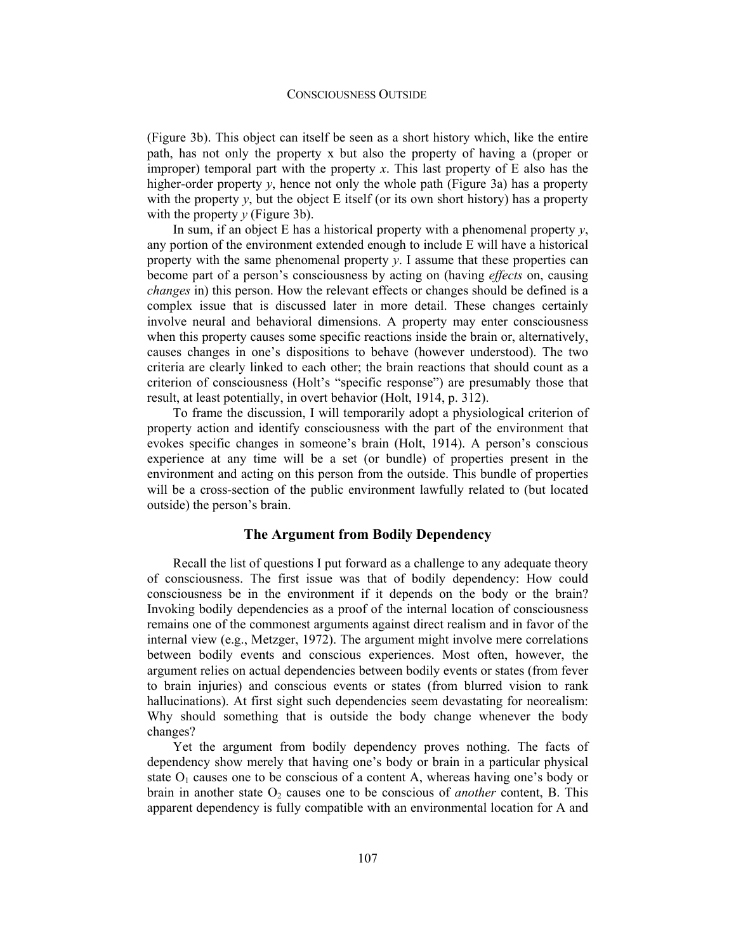(Figure 3b). This object can itself be seen as a short history which, like the entire path, has not only the property x but also the property of having a (proper or improper) temporal part with the property *x*. This last property of E also has the higher-order property *y*, hence not only the whole path (Figure 3a) has a property with the property  $y$ , but the object E itself (or its own short history) has a property with the property *y* (Figure 3b).

In sum, if an object E has a historical property with a phenomenal property *y*, any portion of the environment extended enough to include E will have a historical property with the same phenomenal property  $y$ . I assume that these properties can become part of a person's consciousness by acting on (having *effects* on, causing *changes* in) this person. How the relevant effects or changes should be defined is a complex issue that is discussed later in more detail. These changes certainly involve neural and behavioral dimensions. A property may enter consciousness when this property causes some specific reactions inside the brain or, alternatively, causes changes in one's dispositions to behave (however understood). The two criteria are clearly linked to each other; the brain reactions that should count as a criterion of consciousness (Holt's "specific response") are presumably those that result, at least potentially, in overt behavior (Holt, 1914, p. 312).

To frame the discussion, I will temporarily adopt a physiological criterion of property action and identify consciousness with the part of the environment that evokes specific changes in someone's brain (Holt, 1914). A person's conscious experience at any time will be a set (or bundle) of properties present in the environment and acting on this person from the outside. This bundle of properties will be a cross-section of the public environment lawfully related to (but located outside) the person's brain.

## **The Argument from Bodily Dependency**

Recall the list of questions I put forward as a challenge to any adequate theory of consciousness. The first issue was that of bodily dependency: How could consciousness be in the environment if it depends on the body or the brain? Invoking bodily dependencies as a proof of the internal location of consciousness remains one of the commonest arguments against direct realism and in favor of the internal view (e.g., Metzger, 1972). The argument might involve mere correlations between bodily events and conscious experiences. Most often, however, the argument relies on actual dependencies between bodily events or states (from fever to brain injuries) and conscious events or states (from blurred vision to rank hallucinations). At first sight such dependencies seem devastating for neorealism: Why should something that is outside the body change whenever the body changes?

Yet the argument from bodily dependency proves nothing. The facts of dependency show merely that having one's body or brain in a particular physical state  $O_1$  causes one to be conscious of a content A, whereas having one's body or brain in another state  $O_2$  causes one to be conscious of *another* content, B. This apparent dependency is fully compatible with an environmental location for A and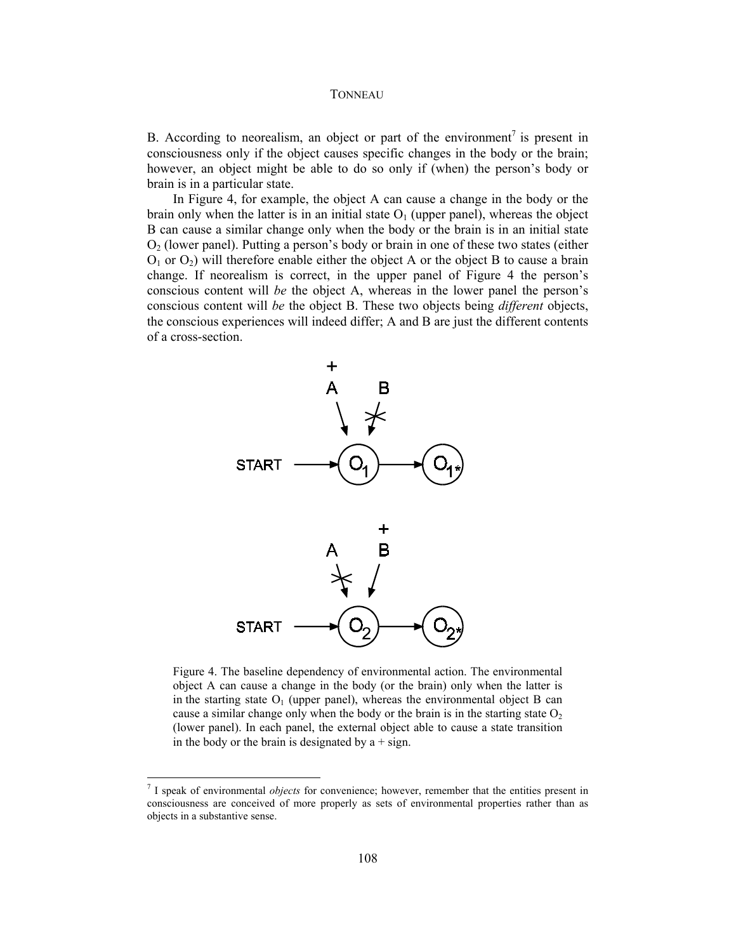B. According to neorealism, an object or part of the environment<sup>7</sup> is present in consciousness only if the object causes specific changes in the body or the brain; however, an object might be able to do so only if (when) the person's body or brain is in a particular state.

In Figure 4, for example, the object A can cause a change in the body or the brain only when the latter is in an initial state  $O<sub>1</sub>$  (upper panel), whereas the object B can cause a similar change only when the body or the brain is in an initial state  $O<sub>2</sub>$  (lower panel). Putting a person's body or brain in one of these two states (either  $O_1$  or  $O_2$ ) will therefore enable either the object A or the object B to cause a brain change. If neorealism is correct, in the upper panel of Figure 4 the person's conscious content will *be* the object A, whereas in the lower panel the person's conscious content will *be* the object B. These two objects being *different* objects, the conscious experiences will indeed differ; A and B are just the different contents of a cross-section.



Figure 4. The baseline dependency of environmental action. The environmental object A can cause a change in the body (or the brain) only when the latter is in the starting state  $O_1$  (upper panel), whereas the environmental object B can cause a similar change only when the body or the brain is in the starting state  $O<sub>2</sub>$ (lower panel). In each panel, the external object able to cause a state transition in the body or the brain is designated by  $a + sign$ .

<sup>7</sup> I speak of environmental *objects* for convenience; however, remember that the entities present in consciousness are conceived of more properly as sets of environmental properties rather than as objects in a substantive sense.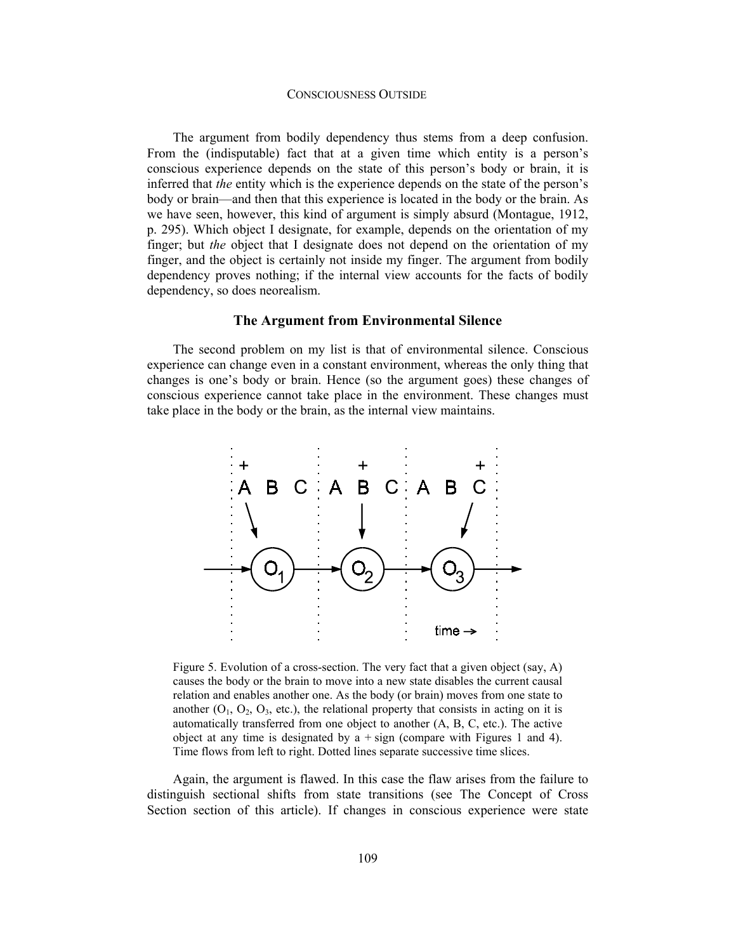### CONSCIOUSNESS OUTSIDE

The argument from bodily dependency thus stems from a deep confusion. From the (indisputable) fact that at a given time which entity is a person's conscious experience depends on the state of this person's body or brain, it is inferred that *the* entity which is the experience depends on the state of the person's body or brain—and then that this experience is located in the body or the brain. As we have seen, however, this kind of argument is simply absurd (Montague, 1912, p. 295). Which object I designate, for example, depends on the orientation of my finger; but *the* object that I designate does not depend on the orientation of my finger, and the object is certainly not inside my finger. The argument from bodily dependency proves nothing; if the internal view accounts for the facts of bodily dependency, so does neorealism.

### **The Argument from Environmental Silence**

The second problem on my list is that of environmental silence. Conscious experience can change even in a constant environment, whereas the only thing that changes is one's body or brain. Hence (so the argument goes) these changes of conscious experience cannot take place in the environment. These changes must take place in the body or the brain, as the internal view maintains.



Figure 5. Evolution of a cross-section. The very fact that a given object (say, A) causes the body or the brain to move into a new state disables the current causal relation and enables another one. As the body (or brain) moves from one state to another  $(O_1, O_2, O_3,$  etc.), the relational property that consists in acting on it is automatically transferred from one object to another (A, B, C, etc.). The active object at any time is designated by  $a + sign$  (compare with Figures 1 and 4). Time flows from left to right. Dotted lines separate successive time slices.

Again, the argument is flawed. In this case the flaw arises from the failure to distinguish sectional shifts from state transitions (see The Concept of Cross Section section of this article). If changes in conscious experience were state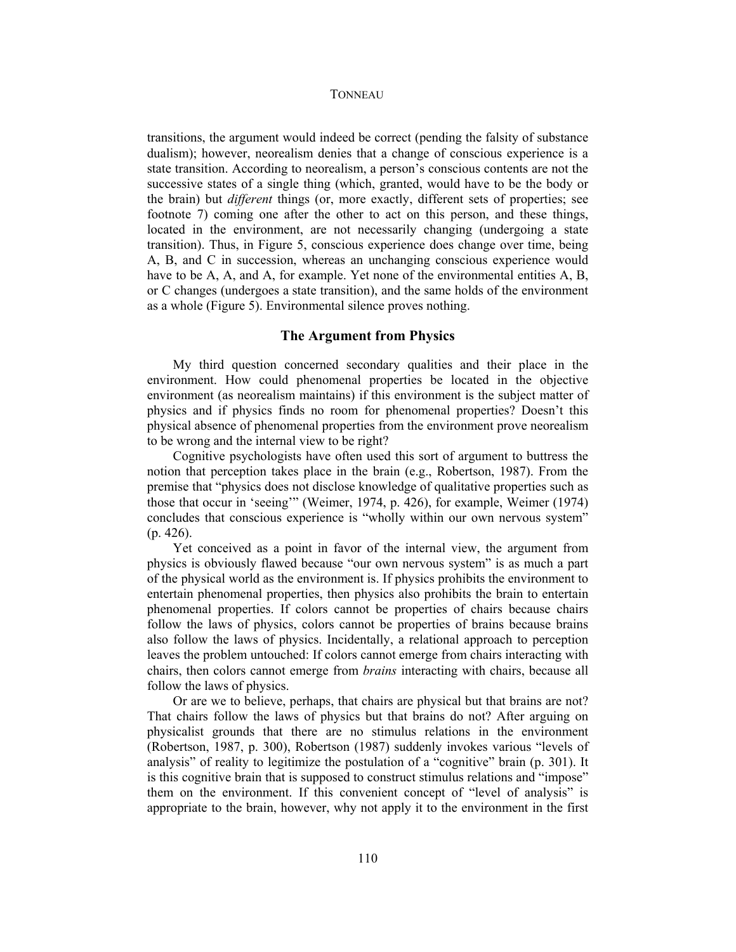transitions, the argument would indeed be correct (pending the falsity of substance dualism); however, neorealism denies that a change of conscious experience is a state transition. According to neorealism, a person's conscious contents are not the successive states of a single thing (which, granted, would have to be the body or the brain) but *different* things (or, more exactly, different sets of properties; see footnote 7) coming one after the other to act on this person, and these things, located in the environment, are not necessarily changing (undergoing a state transition). Thus, in Figure 5, conscious experience does change over time, being A, B, and C in succession, whereas an unchanging conscious experience would have to be A, A, and A, for example. Yet none of the environmental entities A, B, or C changes (undergoes a state transition), and the same holds of the environment as a whole (Figure 5). Environmental silence proves nothing.

### **The Argument from Physics**

My third question concerned secondary qualities and their place in the environment. How could phenomenal properties be located in the objective environment (as neorealism maintains) if this environment is the subject matter of physics and if physics finds no room for phenomenal properties? Doesn't this physical absence of phenomenal properties from the environment prove neorealism to be wrong and the internal view to be right?

Cognitive psychologists have often used this sort of argument to buttress the notion that perception takes place in the brain (e.g., Robertson, 1987). From the premise that "physics does not disclose knowledge of qualitative properties such as those that occur in 'seeing'" (Weimer, 1974, p. 426), for example, Weimer (1974) concludes that conscious experience is "wholly within our own nervous system" (p. 426).

Yet conceived as a point in favor of the internal view, the argument from physics is obviously flawed because "our own nervous system" is as much a part of the physical world as the environment is. If physics prohibits the environment to entertain phenomenal properties, then physics also prohibits the brain to entertain phenomenal properties. If colors cannot be properties of chairs because chairs follow the laws of physics, colors cannot be properties of brains because brains also follow the laws of physics. Incidentally, a relational approach to perception leaves the problem untouched: If colors cannot emerge from chairs interacting with chairs, then colors cannot emerge from *brains* interacting with chairs, because all follow the laws of physics.

Or are we to believe, perhaps, that chairs are physical but that brains are not? That chairs follow the laws of physics but that brains do not? After arguing on physicalist grounds that there are no stimulus relations in the environment (Robertson, 1987, p. 300), Robertson (1987) suddenly invokes various "levels of analysis" of reality to legitimize the postulation of a "cognitive" brain (p. 301). It is this cognitive brain that is supposed to construct stimulus relations and "impose" them on the environment. If this convenient concept of "level of analysis" is appropriate to the brain, however, why not apply it to the environment in the first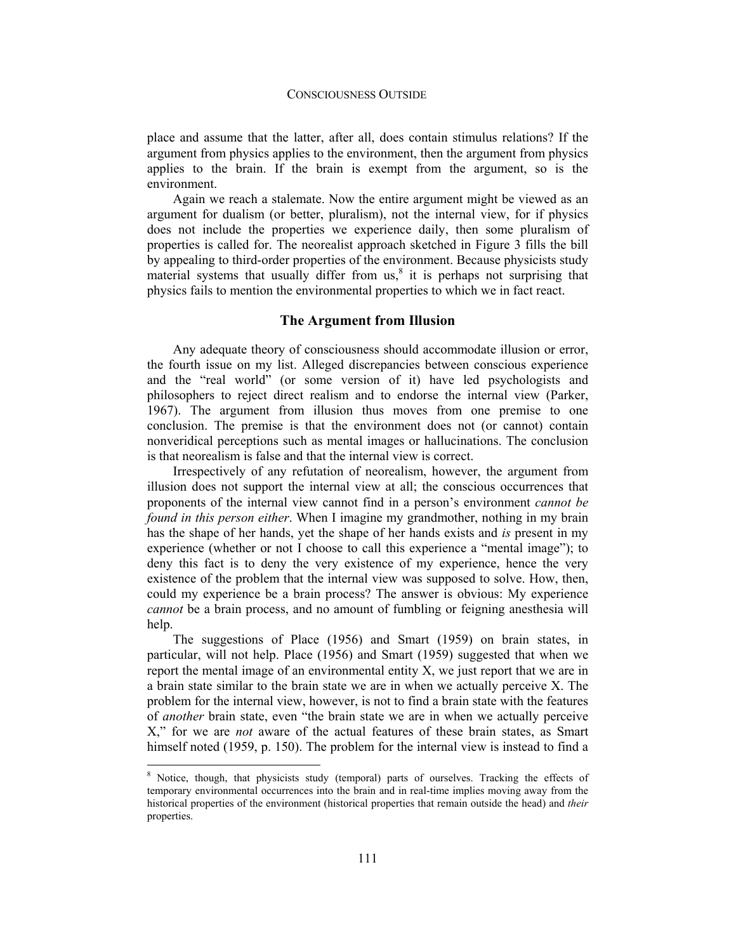place and assume that the latter, after all, does contain stimulus relations? If the argument from physics applies to the environment, then the argument from physics applies to the brain. If the brain is exempt from the argument, so is the environment.

Again we reach a stalemate. Now the entire argument might be viewed as an argument for dualism (or better, pluralism), not the internal view, for if physics does not include the properties we experience daily, then some pluralism of properties is called for. The neorealist approach sketched in Figure 3 fills the bill by appealing to third-order properties of the environment. Because physicists study material systems that usually differ from  $us<sub>s</sub><sup>8</sup>$  it is perhaps not surprising that physics fails to mention the environmental properties to which we in fact react.

### **The Argument from Illusion**

Any adequate theory of consciousness should accommodate illusion or error, the fourth issue on my list. Alleged discrepancies between conscious experience and the "real world" (or some version of it) have led psychologists and philosophers to reject direct realism and to endorse the internal view (Parker, 1967). The argument from illusion thus moves from one premise to one conclusion. The premise is that the environment does not (or cannot) contain nonveridical perceptions such as mental images or hallucinations. The conclusion is that neorealism is false and that the internal view is correct.

Irrespectively of any refutation of neorealism, however, the argument from illusion does not support the internal view at all; the conscious occurrences that proponents of the internal view cannot find in a person's environment *cannot be found in this person either*. When I imagine my grandmother, nothing in my brain has the shape of her hands, yet the shape of her hands exists and *is* present in my experience (whether or not I choose to call this experience a "mental image"); to deny this fact is to deny the very existence of my experience, hence the very existence of the problem that the internal view was supposed to solve. How, then, could my experience be a brain process? The answer is obvious: My experience *cannot* be a brain process, and no amount of fumbling or feigning anesthesia will help.

The suggestions of Place (1956) and Smart (1959) on brain states, in particular, will not help. Place (1956) and Smart (1959) suggested that when we report the mental image of an environmental entity X, we just report that we are in a brain state similar to the brain state we are in when we actually perceive X. The problem for the internal view, however, is not to find a brain state with the features of *another* brain state, even "the brain state we are in when we actually perceive X," for we are *not* aware of the actual features of these brain states, as Smart himself noted (1959, p. 150). The problem for the internal view is instead to find a

<sup>&</sup>lt;sup>8</sup> Notice, though, that physicists study (temporal) parts of ourselves. Tracking the effects of temporary environmental occurrences into the brain and in real-time implies moving away from the historical properties of the environment (historical properties that remain outside the head) and *their*  properties.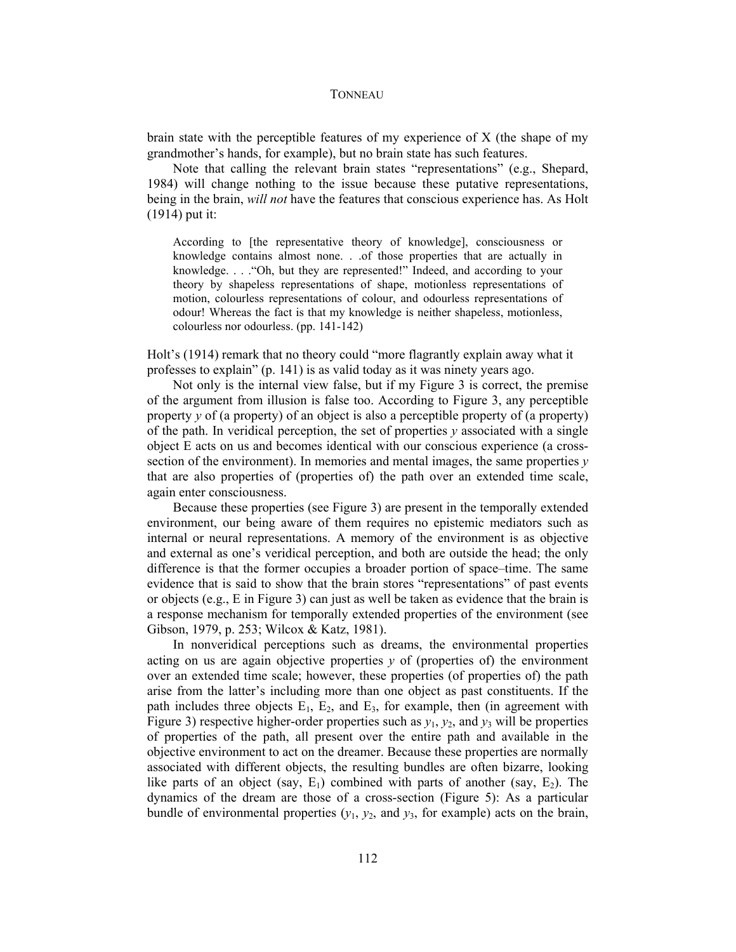brain state with the perceptible features of my experience of X (the shape of my grandmother's hands, for example), but no brain state has such features.

Note that calling the relevant brain states "representations" (e.g., Shepard, 1984) will change nothing to the issue because these putative representations, being in the brain, *will not* have the features that conscious experience has. As Holt (1914) put it:

According to [the representative theory of knowledge], consciousness or knowledge contains almost none. . .of those properties that are actually in knowledge. . . ."Oh, but they are represented!" Indeed, and according to your theory by shapeless representations of shape, motionless representations of motion, colourless representations of colour, and odourless representations of odour! Whereas the fact is that my knowledge is neither shapeless, motionless, colourless nor odourless. (pp. 141-142)

Holt's (1914) remark that no theory could "more flagrantly explain away what it professes to explain" (p. 141) is as valid today as it was ninety years ago.

Not only is the internal view false, but if my Figure 3 is correct, the premise of the argument from illusion is false too. According to Figure 3, any perceptible property *y* of (a property) of an object is also a perceptible property of (a property) of the path. In veridical perception, the set of properties *y* associated with a single object E acts on us and becomes identical with our conscious experience (a crosssection of the environment). In memories and mental images, the same properties *y* that are also properties of (properties of) the path over an extended time scale, again enter consciousness.

Because these properties (see Figure 3) are present in the temporally extended environment, our being aware of them requires no epistemic mediators such as internal or neural representations. A memory of the environment is as objective and external as one's veridical perception, and both are outside the head; the only difference is that the former occupies a broader portion of space–time. The same evidence that is said to show that the brain stores "representations" of past events or objects (e.g., E in Figure 3) can just as well be taken as evidence that the brain is a response mechanism for temporally extended properties of the environment (see Gibson, 1979, p. 253; Wilcox & Katz, 1981).

In nonveridical perceptions such as dreams, the environmental properties acting on us are again objective properties *y* of (properties of) the environment over an extended time scale; however, these properties (of properties of) the path arise from the latter's including more than one object as past constituents. If the path includes three objects  $E_1$ ,  $E_2$ , and  $E_3$ , for example, then (in agreement with Figure 3) respective higher-order properties such as  $y_1, y_2$ , and  $y_3$  will be properties of properties of the path, all present over the entire path and available in the objective environment to act on the dreamer. Because these properties are normally associated with different objects, the resulting bundles are often bizarre, looking like parts of an object (say,  $E_1$ ) combined with parts of another (say,  $E_2$ ). The dynamics of the dream are those of a cross-section (Figure 5): As a particular bundle of environmental properties  $(y_1, y_2,$  and  $y_3$ , for example) acts on the brain,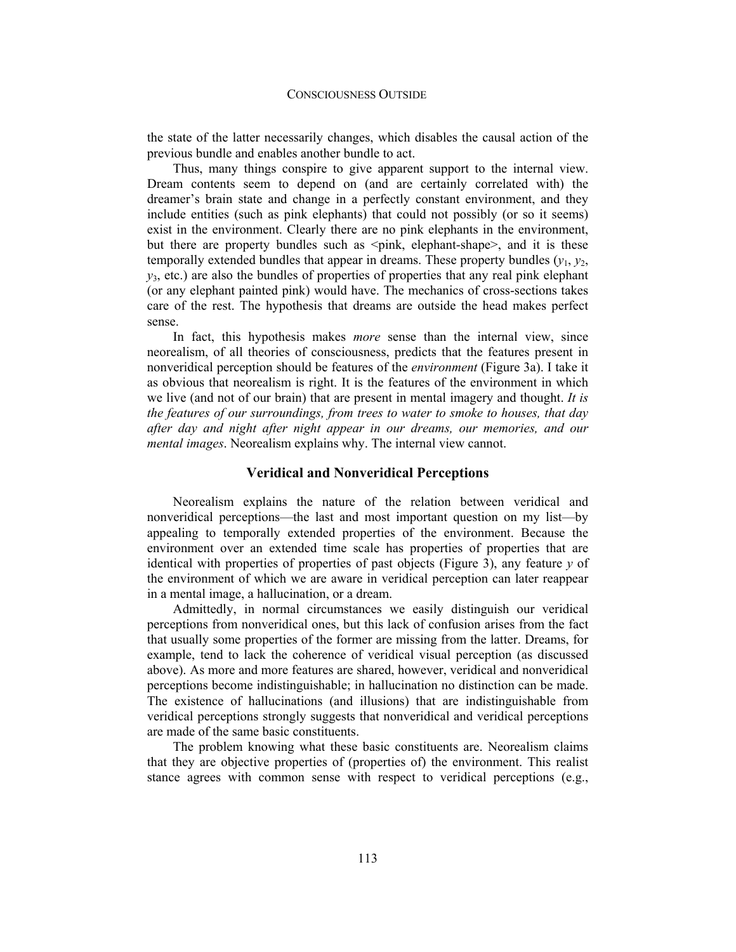the state of the latter necessarily changes, which disables the causal action of the previous bundle and enables another bundle to act.

Thus, many things conspire to give apparent support to the internal view. Dream contents seem to depend on (and are certainly correlated with) the dreamer's brain state and change in a perfectly constant environment, and they include entities (such as pink elephants) that could not possibly (or so it seems) exist in the environment. Clearly there are no pink elephants in the environment, but there are property bundles such as  $\leq$  pink, elephant-shape $\geq$ , and it is these temporally extended bundles that appear in dreams. These property bundles  $(v_1, v_2)$ ,  $y_3$ , etc.) are also the bundles of properties of properties that any real pink elephant (or any elephant painted pink) would have. The mechanics of cross-sections takes care of the rest. The hypothesis that dreams are outside the head makes perfect sense.

In fact, this hypothesis makes *more* sense than the internal view, since neorealism, of all theories of consciousness, predicts that the features present in nonveridical perception should be features of the *environment* (Figure 3a). I take it as obvious that neorealism is right. It is the features of the environment in which we live (and not of our brain) that are present in mental imagery and thought. *It is the features of our surroundings, from trees to water to smoke to houses, that day after day and night after night appear in our dreams, our memories, and our mental images*. Neorealism explains why. The internal view cannot.

### **Veridical and Nonveridical Perceptions**

Neorealism explains the nature of the relation between veridical and nonveridical perceptions—the last and most important question on my list—by appealing to temporally extended properties of the environment. Because the environment over an extended time scale has properties of properties that are identical with properties of properties of past objects (Figure 3), any feature *y* of the environment of which we are aware in veridical perception can later reappear in a mental image, a hallucination, or a dream.

Admittedly, in normal circumstances we easily distinguish our veridical perceptions from nonveridical ones, but this lack of confusion arises from the fact that usually some properties of the former are missing from the latter. Dreams, for example, tend to lack the coherence of veridical visual perception (as discussed above). As more and more features are shared, however, veridical and nonveridical perceptions become indistinguishable; in hallucination no distinction can be made. The existence of hallucinations (and illusions) that are indistinguishable from veridical perceptions strongly suggests that nonveridical and veridical perceptions are made of the same basic constituents.

The problem knowing what these basic constituents are. Neorealism claims that they are objective properties of (properties of) the environment. This realist stance agrees with common sense with respect to veridical perceptions (e.g.,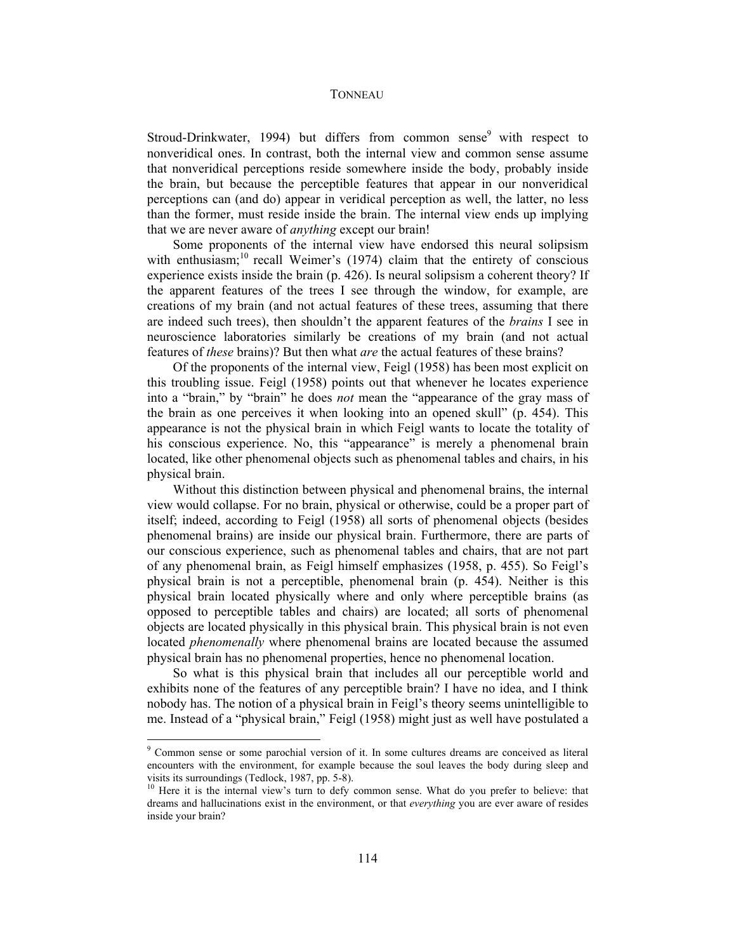Stroud-Drinkwater, 1994) but differs from common sense $9$  with respect to nonveridical ones. In contrast, both the internal view and common sense assume that nonveridical perceptions reside somewhere inside the body, probably inside the brain, but because the perceptible features that appear in our nonveridical perceptions can (and do) appear in veridical perception as well, the latter, no less than the former, must reside inside the brain. The internal view ends up implying that we are never aware of *anything* except our brain!

Some proponents of the internal view have endorsed this neural solipsism with enthusiasm;<sup>10</sup> recall Weimer's (1974) claim that the entirety of conscious experience exists inside the brain (p. 426). Is neural solipsism a coherent theory? If the apparent features of the trees I see through the window, for example, are creations of my brain (and not actual features of these trees, assuming that there are indeed such trees), then shouldn't the apparent features of the *brains* I see in neuroscience laboratories similarly be creations of my brain (and not actual features of *these* brains)? But then what *are* the actual features of these brains?

Of the proponents of the internal view, Feigl (1958) has been most explicit on this troubling issue. Feigl (1958) points out that whenever he locates experience into a "brain," by "brain" he does *not* mean the "appearance of the gray mass of the brain as one perceives it when looking into an opened skull" (p. 454). This appearance is not the physical brain in which Feigl wants to locate the totality of his conscious experience. No, this "appearance" is merely a phenomenal brain located, like other phenomenal objects such as phenomenal tables and chairs, in his physical brain.

Without this distinction between physical and phenomenal brains, the internal view would collapse. For no brain, physical or otherwise, could be a proper part of itself; indeed, according to Feigl (1958) all sorts of phenomenal objects (besides phenomenal brains) are inside our physical brain. Furthermore, there are parts of our conscious experience, such as phenomenal tables and chairs, that are not part of any phenomenal brain, as Feigl himself emphasizes (1958, p. 455). So Feigl's physical brain is not a perceptible, phenomenal brain (p. 454). Neither is this physical brain located physically where and only where perceptible brains (as opposed to perceptible tables and chairs) are located; all sorts of phenomenal objects are located physically in this physical brain. This physical brain is not even located *phenomenally* where phenomenal brains are located because the assumed physical brain has no phenomenal properties, hence no phenomenal location.

So what is this physical brain that includes all our perceptible world and exhibits none of the features of any perceptible brain? I have no idea, and I think nobody has. The notion of a physical brain in Feigl's theory seems unintelligible to me. Instead of a "physical brain," Feigl (1958) might just as well have postulated a

<sup>&</sup>lt;sup>9</sup> Common sense or some parochial version of it. In some cultures dreams are conceived as literal encounters with the environment, for example because the soul leaves the body during sleep and visits its surroundings (Tedlock, 1987, pp. 5-8).<br><sup>10</sup> Here it is the internal view's turn to defy common sense. What do you prefer to believe: that

dreams and hallucinations exist in the environment, or that *everything* you are ever aware of resides inside your brain?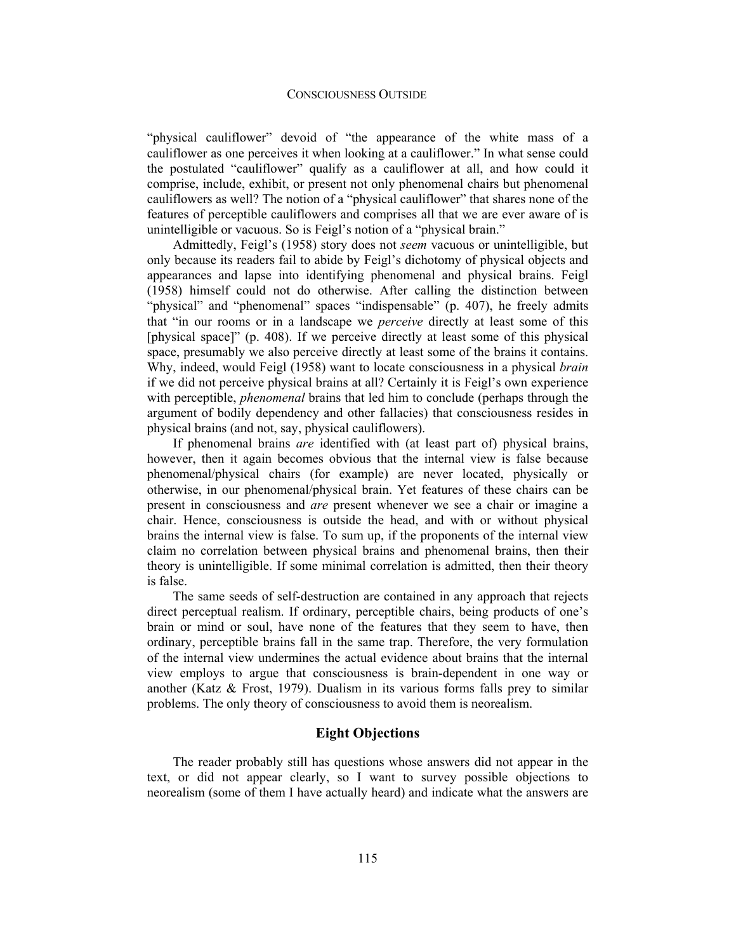### CONSCIOUSNESS OUTSIDE

"physical cauliflower" devoid of "the appearance of the white mass of a cauliflower as one perceives it when looking at a cauliflower." In what sense could the postulated "cauliflower" qualify as a cauliflower at all, and how could it comprise, include, exhibit, or present not only phenomenal chairs but phenomenal cauliflowers as well? The notion of a "physical cauliflower" that shares none of the features of perceptible cauliflowers and comprises all that we are ever aware of is unintelligible or vacuous. So is Feigl's notion of a "physical brain."

Admittedly, Feigl's (1958) story does not *seem* vacuous or unintelligible, but only because its readers fail to abide by Feigl's dichotomy of physical objects and appearances and lapse into identifying phenomenal and physical brains. Feigl (1958) himself could not do otherwise. After calling the distinction between "physical" and "phenomenal" spaces "indispensable" (p. 407), he freely admits that "in our rooms or in a landscape we *perceive* directly at least some of this [physical space]" (p. 408). If we perceive directly at least some of this physical space, presumably we also perceive directly at least some of the brains it contains. Why, indeed, would Feigl (1958) want to locate consciousness in a physical *brain*  if we did not perceive physical brains at all? Certainly it is Feigl's own experience with perceptible, *phenomenal* brains that led him to conclude (perhaps through the argument of bodily dependency and other fallacies) that consciousness resides in physical brains (and not, say, physical cauliflowers).

If phenomenal brains *are* identified with (at least part of) physical brains, however, then it again becomes obvious that the internal view is false because phenomenal/physical chairs (for example) are never located, physically or otherwise, in our phenomenal/physical brain. Yet features of these chairs can be present in consciousness and *are* present whenever we see a chair or imagine a chair. Hence, consciousness is outside the head, and with or without physical brains the internal view is false. To sum up, if the proponents of the internal view claim no correlation between physical brains and phenomenal brains, then their theory is unintelligible. If some minimal correlation is admitted, then their theory is false.

The same seeds of self-destruction are contained in any approach that rejects direct perceptual realism. If ordinary, perceptible chairs, being products of one's brain or mind or soul, have none of the features that they seem to have, then ordinary, perceptible brains fall in the same trap. Therefore, the very formulation of the internal view undermines the actual evidence about brains that the internal view employs to argue that consciousness is brain-dependent in one way or another (Katz & Frost, 1979). Dualism in its various forms falls prey to similar problems. The only theory of consciousness to avoid them is neorealism.

## **Eight Objections**

The reader probably still has questions whose answers did not appear in the text, or did not appear clearly, so I want to survey possible objections to neorealism (some of them I have actually heard) and indicate what the answers are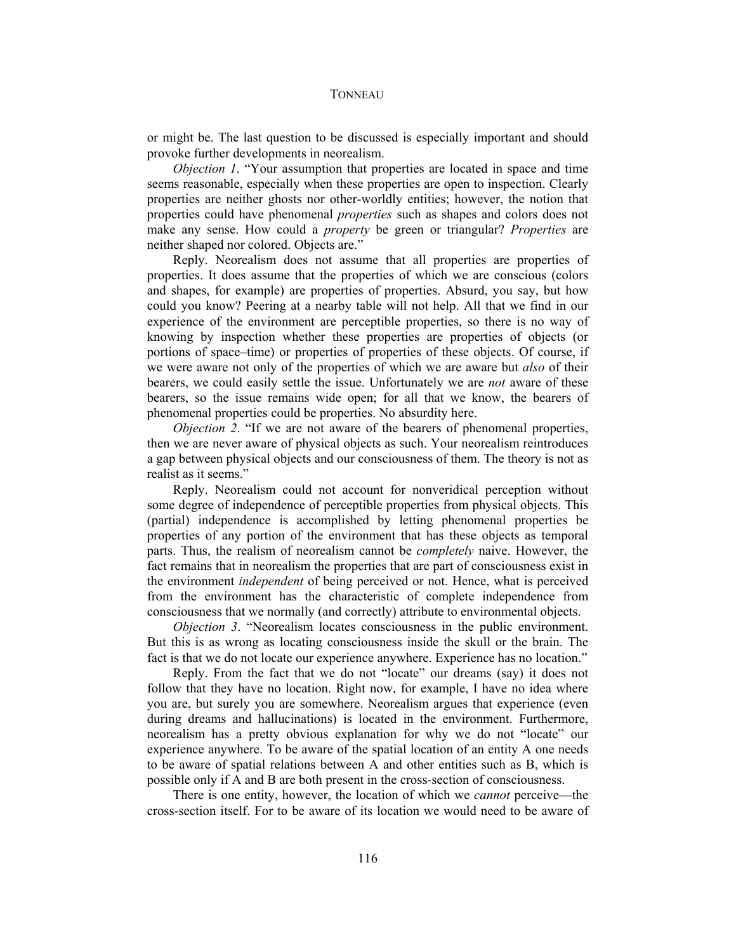or might be. The last question to be discussed is especially important and should provoke further developments in neorealism.

*Objection 1*. "Your assumption that properties are located in space and time seems reasonable, especially when these properties are open to inspection. Clearly properties are neither ghosts nor other-worldly entities; however, the notion that properties could have phenomenal *properties* such as shapes and colors does not make any sense. How could a *property* be green or triangular? *Properties* are neither shaped nor colored. Objects are."

Reply. Neorealism does not assume that all properties are properties of properties. It does assume that the properties of which we are conscious (colors and shapes, for example) are properties of properties. Absurd, you say, but how could you know? Peering at a nearby table will not help. All that we find in our experience of the environment are perceptible properties, so there is no way of knowing by inspection whether these properties are properties of objects (or portions of space–time) or properties of properties of these objects. Of course, if we were aware not only of the properties of which we are aware but *also* of their bearers, we could easily settle the issue. Unfortunately we are *not* aware of these bearers, so the issue remains wide open; for all that we know, the bearers of phenomenal properties could be properties. No absurdity here.

*Objection 2.* "If we are not aware of the bearers of phenomenal properties, then we are never aware of physical objects as such. Your neorealism reintroduces a gap between physical objects and our consciousness of them. The theory is not as realist as it seems."

Reply. Neorealism could not account for nonveridical perception without some degree of independence of perceptible properties from physical objects. This (partial) independence is accomplished by letting phenomenal properties be properties of any portion of the environment that has these objects as temporal parts. Thus, the realism of neorealism cannot be *completely* naive. However, the fact remains that in neorealism the properties that are part of consciousness exist in the environment *independent* of being perceived or not. Hence, what is perceived from the environment has the characteristic of complete independence from consciousness that we normally (and correctly) attribute to environmental objects.

*Objection 3*. "Neorealism locates consciousness in the public environment. But this is as wrong as locating consciousness inside the skull or the brain. The fact is that we do not locate our experience anywhere. Experience has no location."

Reply. From the fact that we do not "locate" our dreams (say) it does not follow that they have no location. Right now, for example, I have no idea where you are, but surely you are somewhere. Neorealism argues that experience (even during dreams and hallucinations) is located in the environment. Furthermore, neorealism has a pretty obvious explanation for why we do not "locate" our experience anywhere. To be aware of the spatial location of an entity A one needs to be aware of spatial relations between A and other entities such as B, which is possible only if A and B are both present in the cross-section of consciousness.

There is one entity, however, the location of which we *cannot* perceive—the cross-section itself. For to be aware of its location we would need to be aware of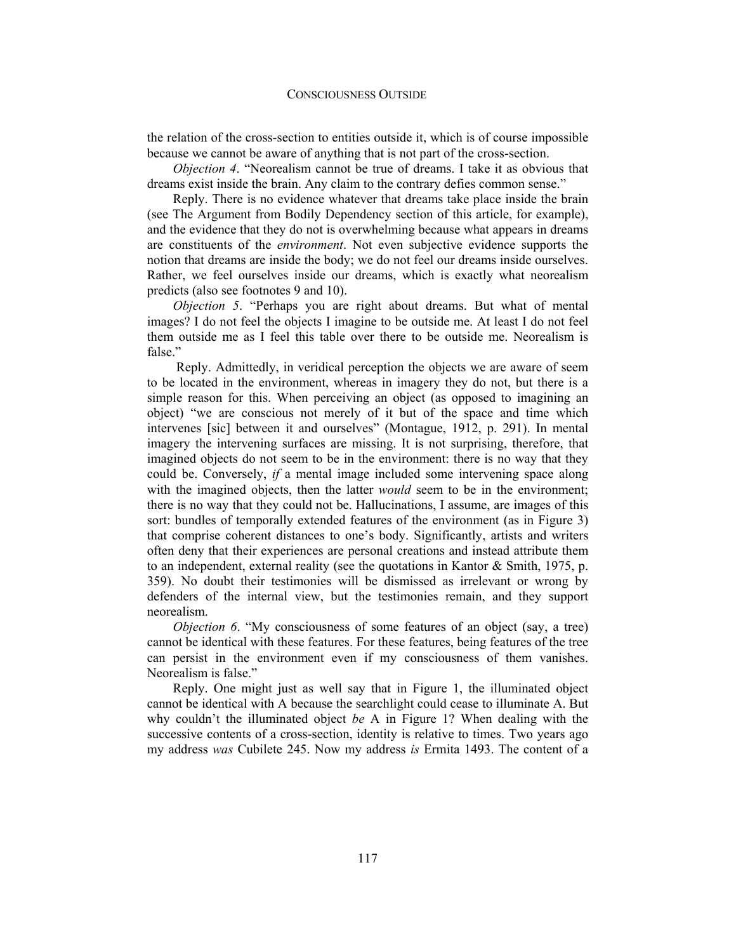the relation of the cross-section to entities outside it, which is of course impossible because we cannot be aware of anything that is not part of the cross-section.

*Objection 4*. "Neorealism cannot be true of dreams. I take it as obvious that dreams exist inside the brain. Any claim to the contrary defies common sense."

Reply. There is no evidence whatever that dreams take place inside the brain (see The Argument from Bodily Dependency section of this article, for example), and the evidence that they do not is overwhelming because what appears in dreams are constituents of the *environment*. Not even subjective evidence supports the notion that dreams are inside the body; we do not feel our dreams inside ourselves. Rather, we feel ourselves inside our dreams, which is exactly what neorealism predicts (also see footnotes 9 and 10).

*Objection 5*. "Perhaps you are right about dreams. But what of mental images? I do not feel the objects I imagine to be outside me. At least I do not feel them outside me as I feel this table over there to be outside me. Neorealism is false."

 Reply. Admittedly, in veridical perception the objects we are aware of seem to be located in the environment, whereas in imagery they do not, but there is a simple reason for this. When perceiving an object (as opposed to imagining an object) "we are conscious not merely of it but of the space and time which intervenes [sic] between it and ourselves" (Montague, 1912, p. 291). In mental imagery the intervening surfaces are missing. It is not surprising, therefore, that imagined objects do not seem to be in the environment: there is no way that they could be. Conversely, *if* a mental image included some intervening space along with the imagined objects, then the latter *would* seem to be in the environment; there is no way that they could not be. Hallucinations, I assume, are images of this sort: bundles of temporally extended features of the environment (as in Figure 3) that comprise coherent distances to one's body. Significantly, artists and writers often deny that their experiences are personal creations and instead attribute them to an independent, external reality (see the quotations in Kantor & Smith, 1975, p. 359). No doubt their testimonies will be dismissed as irrelevant or wrong by defenders of the internal view, but the testimonies remain, and they support neorealism.

*Objection 6.* "My consciousness of some features of an object (say, a tree) cannot be identical with these features. For these features, being features of the tree can persist in the environment even if my consciousness of them vanishes. Neorealism is false."

Reply. One might just as well say that in Figure 1, the illuminated object cannot be identical with A because the searchlight could cease to illuminate A. But why couldn't the illuminated object *be* A in Figure 1? When dealing with the successive contents of a cross-section, identity is relative to times. Two years ago my address *was* Cubilete 245. Now my address *is* Ermita 1493. The content of a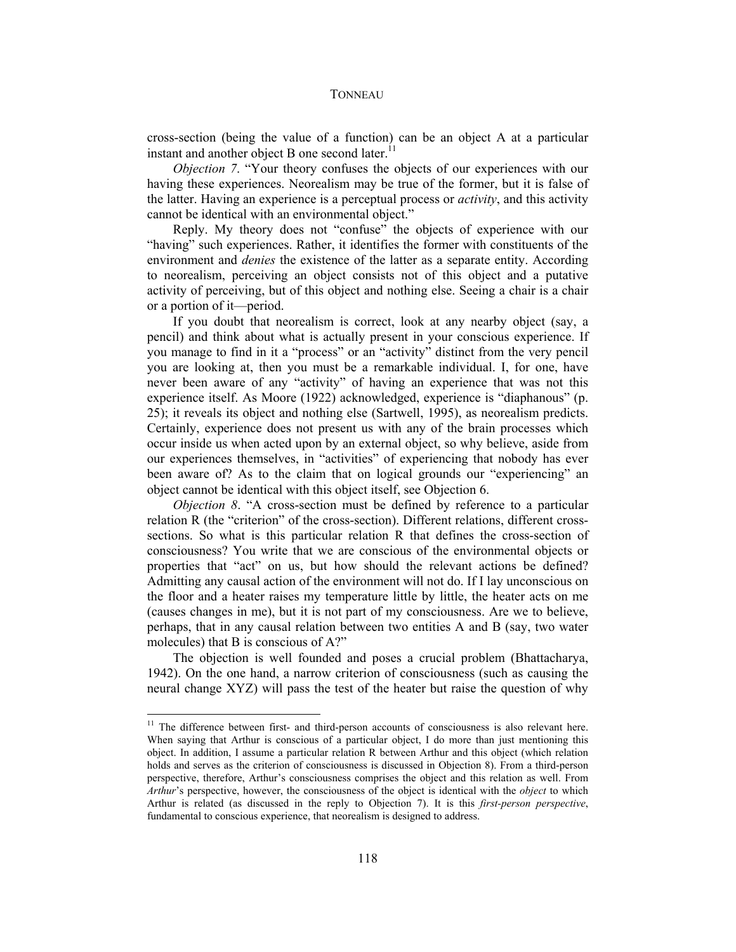cross-section (being the value of a function) can be an object A at a particular instant and another object B one second later. $<sup>11</sup>$ </sup>

*Objection 7.* "Your theory confuses the objects of our experiences with our having these experiences. Neorealism may be true of the former, but it is false of the latter. Having an experience is a perceptual process or *activity*, and this activity cannot be identical with an environmental object."

Reply. My theory does not "confuse" the objects of experience with our "having" such experiences. Rather, it identifies the former with constituents of the environment and *denies* the existence of the latter as a separate entity. According to neorealism, perceiving an object consists not of this object and a putative activity of perceiving, but of this object and nothing else. Seeing a chair is a chair or a portion of it—period.

If you doubt that neorealism is correct, look at any nearby object (say, a pencil) and think about what is actually present in your conscious experience. If you manage to find in it a "process" or an "activity" distinct from the very pencil you are looking at, then you must be a remarkable individual. I, for one, have never been aware of any "activity" of having an experience that was not this experience itself. As Moore (1922) acknowledged, experience is "diaphanous" (p. 25); it reveals its object and nothing else (Sartwell, 1995), as neorealism predicts. Certainly, experience does not present us with any of the brain processes which occur inside us when acted upon by an external object, so why believe, aside from our experiences themselves, in "activities" of experiencing that nobody has ever been aware of? As to the claim that on logical grounds our "experiencing" an object cannot be identical with this object itself, see Objection 6.

*Objection 8.* "A cross-section must be defined by reference to a particular relation R (the "criterion" of the cross-section). Different relations, different crosssections. So what is this particular relation R that defines the cross-section of consciousness? You write that we are conscious of the environmental objects or properties that "act" on us, but how should the relevant actions be defined? Admitting any causal action of the environment will not do. If I lay unconscious on the floor and a heater raises my temperature little by little, the heater acts on me (causes changes in me), but it is not part of my consciousness. Are we to believe, perhaps, that in any causal relation between two entities A and B (say, two water molecules) that B is conscious of A?"

The objection is well founded and poses a crucial problem (Bhattacharya, 1942). On the one hand, a narrow criterion of consciousness (such as causing the neural change XYZ) will pass the test of the heater but raise the question of why

<sup>&</sup>lt;sup>11</sup> The difference between first- and third-person accounts of consciousness is also relevant here. When saying that Arthur is conscious of a particular object, I do more than just mentioning this object. In addition, I assume a particular relation R between Arthur and this object (which relation holds and serves as the criterion of consciousness is discussed in Objection 8). From a third-person perspective, therefore, Arthur's consciousness comprises the object and this relation as well. From *Arthur*'s perspective, however, the consciousness of the object is identical with the *object* to which Arthur is related (as discussed in the reply to Objection 7). It is this *first-person perspective*, fundamental to conscious experience, that neorealism is designed to address.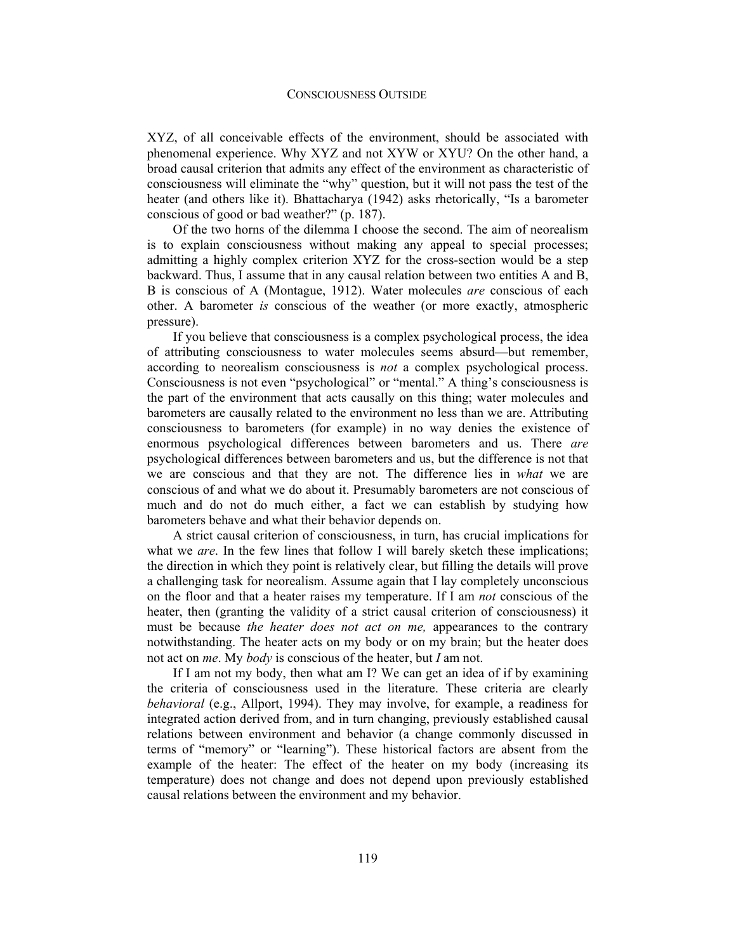XYZ, of all conceivable effects of the environment, should be associated with phenomenal experience. Why XYZ and not XYW or XYU? On the other hand, a broad causal criterion that admits any effect of the environment as characteristic of consciousness will eliminate the "why" question, but it will not pass the test of the heater (and others like it). Bhattacharya (1942) asks rhetorically, "Is a barometer conscious of good or bad weather?" (p. 187).

Of the two horns of the dilemma I choose the second. The aim of neorealism is to explain consciousness without making any appeal to special processes; admitting a highly complex criterion XYZ for the cross-section would be a step backward. Thus, I assume that in any causal relation between two entities A and B, B is conscious of A (Montague, 1912). Water molecules *are* conscious of each other. A barometer *is* conscious of the weather (or more exactly, atmospheric pressure).

If you believe that consciousness is a complex psychological process, the idea of attributing consciousness to water molecules seems absurd—but remember, according to neorealism consciousness is *not* a complex psychological process. Consciousness is not even "psychological" or "mental." A thing's consciousness is the part of the environment that acts causally on this thing; water molecules and barometers are causally related to the environment no less than we are. Attributing consciousness to barometers (for example) in no way denies the existence of enormous psychological differences between barometers and us. There *are*  psychological differences between barometers and us, but the difference is not that we are conscious and that they are not. The difference lies in *what* we are conscious of and what we do about it. Presumably barometers are not conscious of much and do not do much either, a fact we can establish by studying how barometers behave and what their behavior depends on.

A strict causal criterion of consciousness, in turn, has crucial implications for what we *are*. In the few lines that follow I will barely sketch these implications; the direction in which they point is relatively clear, but filling the details will prove a challenging task for neorealism. Assume again that I lay completely unconscious on the floor and that a heater raises my temperature. If I am *not* conscious of the heater, then (granting the validity of a strict causal criterion of consciousness) it must be because *the heater does not act on me,* appearances to the contrary notwithstanding. The heater acts on my body or on my brain; but the heater does not act on *me*. My *body* is conscious of the heater, but *I* am not.

If I am not my body, then what am I? We can get an idea of if by examining the criteria of consciousness used in the literature. These criteria are clearly *behavioral* (e.g., Allport, 1994). They may involve, for example, a readiness for integrated action derived from, and in turn changing, previously established causal relations between environment and behavior (a change commonly discussed in terms of "memory" or "learning"). These historical factors are absent from the example of the heater: The effect of the heater on my body (increasing its temperature) does not change and does not depend upon previously established causal relations between the environment and my behavior.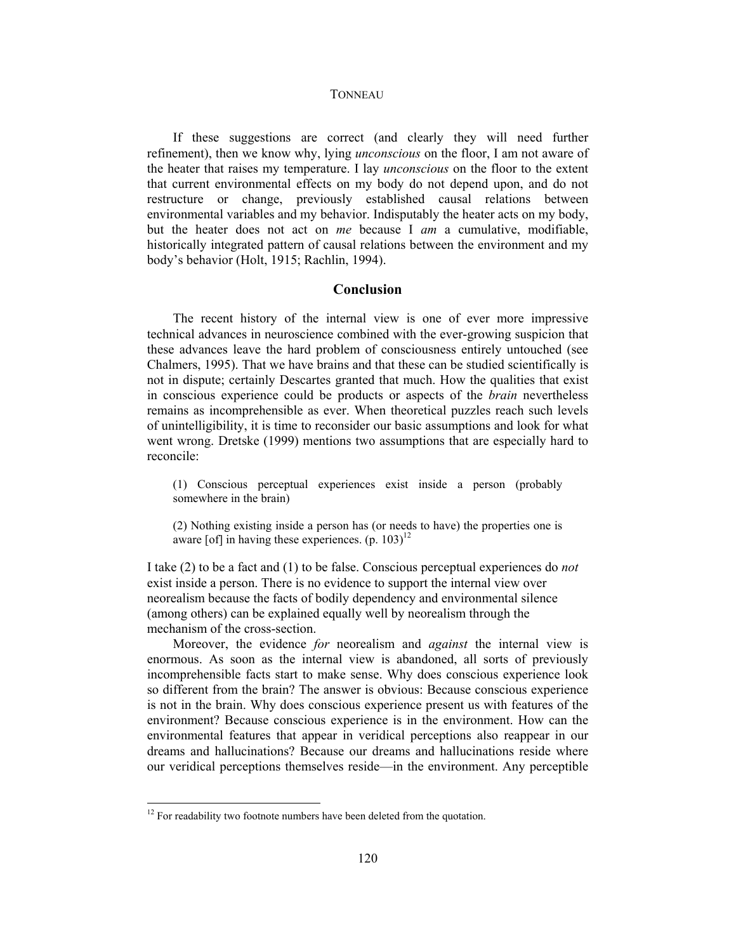If these suggestions are correct (and clearly they will need further refinement), then we know why, lying *unconscious* on the floor, I am not aware of the heater that raises my temperature. I lay *unconscious* on the floor to the extent that current environmental effects on my body do not depend upon, and do not restructure or change, previously established causal relations between environmental variables and my behavior. Indisputably the heater acts on my body, but the heater does not act on *me* because I *am* a cumulative, modifiable, historically integrated pattern of causal relations between the environment and my body's behavior (Holt, 1915; Rachlin, 1994).

## **Conclusion**

The recent history of the internal view is one of ever more impressive technical advances in neuroscience combined with the ever-growing suspicion that these advances leave the hard problem of consciousness entirely untouched (see Chalmers, 1995). That we have brains and that these can be studied scientifically is not in dispute; certainly Descartes granted that much. How the qualities that exist in conscious experience could be products or aspects of the *brain* nevertheless remains as incomprehensible as ever. When theoretical puzzles reach such levels of unintelligibility, it is time to reconsider our basic assumptions and look for what went wrong. Dretske (1999) mentions two assumptions that are especially hard to reconcile:

(1) Conscious perceptual experiences exist inside a person (probably somewhere in the brain)

(2) Nothing existing inside a person has (or needs to have) the properties one is aware [of] in having these experiences.  $(p. 103)^{12}$ 

I take (2) to be a fact and (1) to be false. Conscious perceptual experiences do *not*  exist inside a person. There is no evidence to support the internal view over neorealism because the facts of bodily dependency and environmental silence (among others) can be explained equally well by neorealism through the mechanism of the cross-section.

Moreover, the evidence *for* neorealism and *against* the internal view is enormous. As soon as the internal view is abandoned, all sorts of previously incomprehensible facts start to make sense. Why does conscious experience look so different from the brain? The answer is obvious: Because conscious experience is not in the brain. Why does conscious experience present us with features of the environment? Because conscious experience is in the environment. How can the environmental features that appear in veridical perceptions also reappear in our dreams and hallucinations? Because our dreams and hallucinations reside where our veridical perceptions themselves reside—in the environment. Any perceptible

 $\overline{a}$ 

 $12$  For readability two footnote numbers have been deleted from the quotation.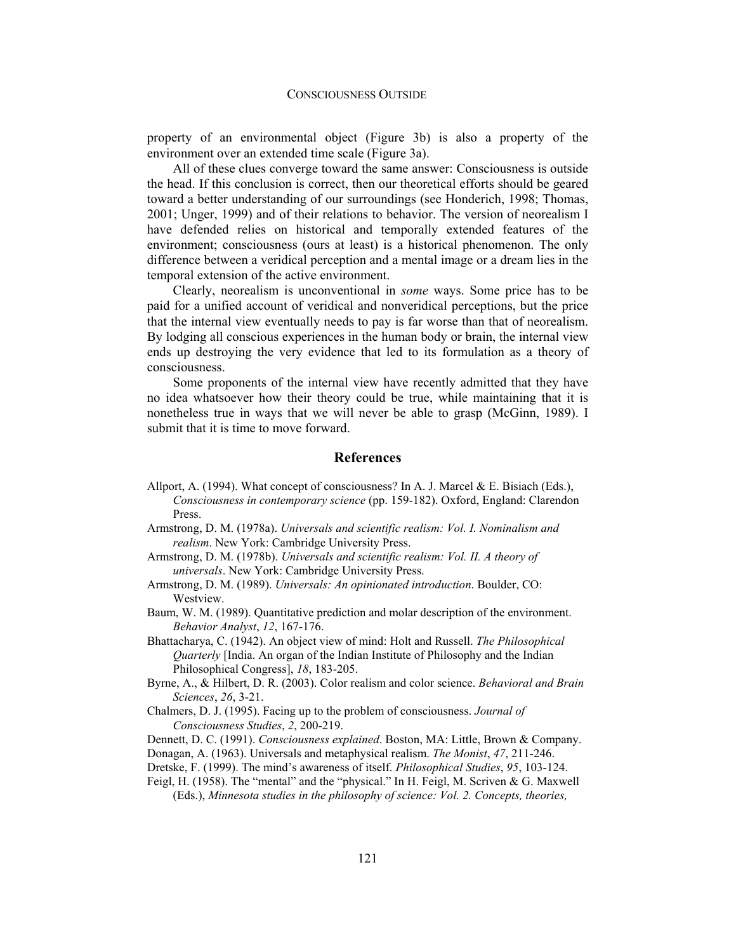property of an environmental object (Figure 3b) is also a property of the environment over an extended time scale (Figure 3a).

All of these clues converge toward the same answer: Consciousness is outside the head. If this conclusion is correct, then our theoretical efforts should be geared toward a better understanding of our surroundings (see Honderich, 1998; Thomas, 2001; Unger, 1999) and of their relations to behavior. The version of neorealism I have defended relies on historical and temporally extended features of the environment; consciousness (ours at least) is a historical phenomenon. The only difference between a veridical perception and a mental image or a dream lies in the temporal extension of the active environment.

Clearly, neorealism is unconventional in *some* ways. Some price has to be paid for a unified account of veridical and nonveridical perceptions, but the price that the internal view eventually needs to pay is far worse than that of neorealism. By lodging all conscious experiences in the human body or brain, the internal view ends up destroying the very evidence that led to its formulation as a theory of consciousness.

Some proponents of the internal view have recently admitted that they have no idea whatsoever how their theory could be true, while maintaining that it is nonetheless true in ways that we will never be able to grasp (McGinn, 1989). I submit that it is time to move forward.

## **References**

- Allport, A. (1994). What concept of consciousness? In A. J. Marcel & E. Bisiach (Eds.), *Consciousness in contemporary science* (pp. 159-182). Oxford, England: Clarendon Press.
- Armstrong, D. M. (1978a). *Universals and scientific realism: Vol. I. Nominalism and realism*. New York: Cambridge University Press.
- Armstrong, D. M. (1978b). *Universals and scientific realism: Vol. II. A theory of universals*. New York: Cambridge University Press.
- Armstrong, D. M. (1989). *Universals: An opinionated introduction*. Boulder, CO: Westview.
- Baum, W. M. (1989). Quantitative prediction and molar description of the environment. *Behavior Analyst*, *12*, 167-176.
- Bhattacharya, C. (1942). An object view of mind: Holt and Russell. *The Philosophical Quarterly* [India. An organ of the Indian Institute of Philosophy and the Indian Philosophical Congress], *18*, 183-205.
- Byrne, A., & Hilbert, D. R. (2003). Color realism and color science. *Behavioral and Brain Sciences*, *26*, 3-21.
- Chalmers, D. J. (1995). Facing up to the problem of consciousness. *Journal of Consciousness Studies*, *2*, 200-219.
- Dennett, D. C. (1991). *Consciousness explained*. Boston, MA: Little, Brown & Company.
- Donagan, A. (1963). Universals and metaphysical realism. *The Monist*, *47*, 211-246.
- Dretske, F. (1999). The mind's awareness of itself. *Philosophical Studies*, *95*, 103-124.
- Feigl, H. (1958). The "mental" and the "physical." In H. Feigl, M. Scriven & G. Maxwell (Eds.), *Minnesota studies in the philosophy of science: Vol. 2. Concepts, theories,*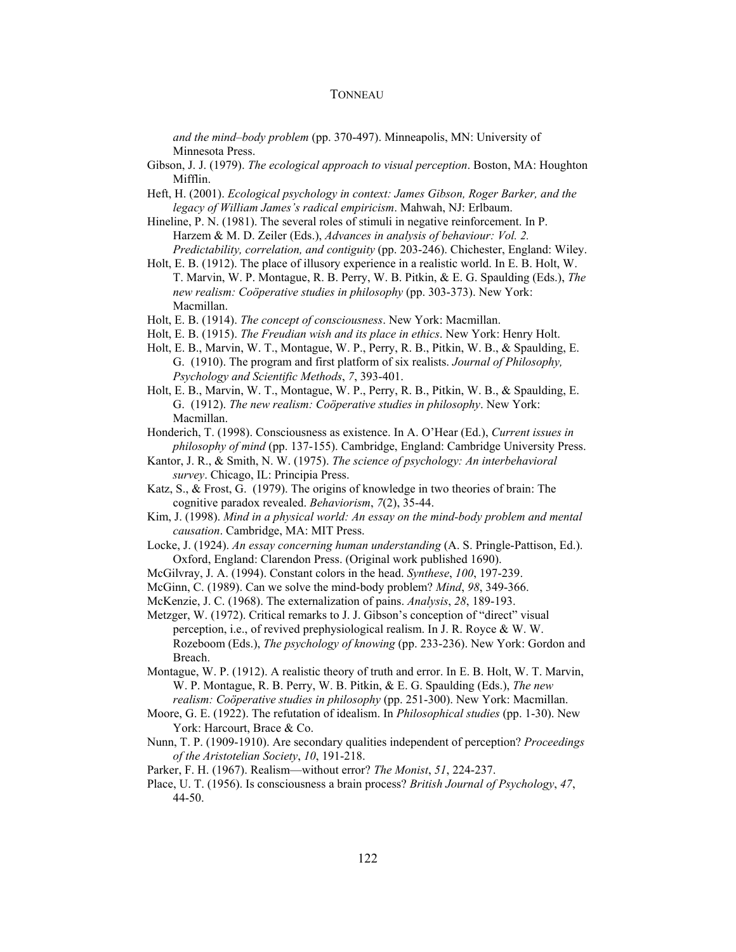*and the mind–body problem* (pp. 370-497). Minneapolis, MN: University of Minnesota Press.

- Gibson, J. J. (1979). *The ecological approach to visual perception*. Boston, MA: Houghton Mifflin.
- Heft, H. (2001). *Ecological psychology in context: James Gibson, Roger Barker, and the legacy of William James's radical empiricism*. Mahwah, NJ: Erlbaum.
- Hineline, P. N. (1981). The several roles of stimuli in negative reinforcement. In P. Harzem & M. D. Zeiler (Eds.), *Advances in analysis of behaviour: Vol. 2. Predictability, correlation, and contiguity* (pp. 203-246). Chichester, England: Wiley.
- Holt, E. B. (1912). The place of illusory experience in a realistic world. In E. B. Holt, W. T. Marvin, W. P. Montague, R. B. Perry, W. B. Pitkin, & E. G. Spaulding (Eds.), *The new realism: Coöperative studies in philosophy* (pp. 303-373). New York: Macmillan.
- Holt, E. B. (1914). *The concept of consciousness*. New York: Macmillan.
- Holt, E. B. (1915). *The Freudian wish and its place in ethics*. New York: Henry Holt.
- Holt, E. B., Marvin, W. T., Montague, W. P., Perry, R. B., Pitkin, W. B., & Spaulding, E. G. (1910). The program and first platform of six realists. *Journal of Philosophy, Psychology and Scientific Methods*, *7*, 393-401.
- Holt, E. B., Marvin, W. T., Montague, W. P., Perry, R. B., Pitkin, W. B., & Spaulding, E. G. (1912). *The new realism: Coöperative studies in philosophy*. New York: Macmillan.
- Honderich, T. (1998). Consciousness as existence. In A. O'Hear (Ed.), *Current issues in philosophy of mind* (pp. 137-155). Cambridge, England: Cambridge University Press.
- Kantor, J. R., & Smith, N. W. (1975). *The science of psychology: An interbehavioral survey*. Chicago, IL: Principia Press.
- Katz, S., & Frost, G. (1979). The origins of knowledge in two theories of brain: The cognitive paradox revealed. *Behaviorism*, *7*(2), 35-44.
- Kim, J. (1998). *Mind in a physical world: An essay on the mind-body problem and mental causation*. Cambridge, MA: MIT Press.
- Locke, J. (1924). *An essay concerning human understanding* (A. S. Pringle-Pattison, Ed.). Oxford, England: Clarendon Press. (Original work published 1690).
- McGilvray, J. A. (1994). Constant colors in the head. *Synthese*, *100*, 197-239.
- McGinn, C. (1989). Can we solve the mind-body problem? *Mind*, *98*, 349-366.
- McKenzie, J. C. (1968). The externalization of pains. *Analysis*, *28*, 189-193.
- Metzger, W. (1972). Critical remarks to J. J. Gibson's conception of "direct" visual perception, i.e., of revived prephysiological realism. In J. R. Royce & W. W. Rozeboom (Eds.), *The psychology of knowing* (pp. 233-236). New York: Gordon and Breach.
- Montague, W. P. (1912). A realistic theory of truth and error. In E. B. Holt, W. T. Marvin, W. P. Montague, R. B. Perry, W. B. Pitkin, & E. G. Spaulding (Eds.), *The new realism: Coöperative studies in philosophy* (pp. 251-300). New York: Macmillan.
- Moore, G. E. (1922). The refutation of idealism. In *Philosophical studies* (pp. 1-30). New York: Harcourt, Brace & Co.
- Nunn, T. P. (1909-1910). Are secondary qualities independent of perception? *Proceedings of the Aristotelian Society*, *10*, 191-218.
- Parker, F. H. (1967). Realism—without error? *The Monist*, *51*, 224-237.
- Place, U. T. (1956). Is consciousness a brain process? *British Journal of Psychology*, *47*, 44-50.